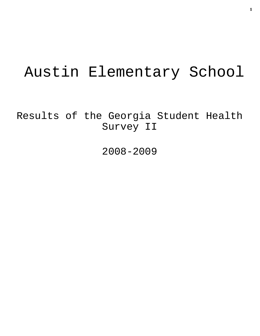# Austin Elementary School

Results of the Georgia Student Health Survey II

2008-2009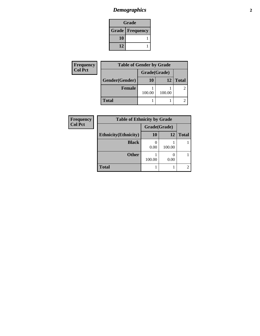# *Demographics* **2**

| Grade                    |  |  |
|--------------------------|--|--|
| <b>Grade   Frequency</b> |  |  |
| 10                       |  |  |
| 12                       |  |  |

| Frequency      | <b>Table of Gender by Grade</b> |              |                 |              |
|----------------|---------------------------------|--------------|-----------------|--------------|
| <b>Col Pct</b> |                                 | Grade(Grade) |                 |              |
|                | <b>Gender(Gender)</b>           | 10           | 12 <sub>1</sub> | <b>Total</b> |
|                | Female                          |              |                 | 2            |
|                |                                 | 100.00       | 100.00          |              |
|                | <b>Total</b>                    |              |                 |              |

| Frequency      | <b>Table of Ethnicity by Grade</b> |              |        |                |
|----------------|------------------------------------|--------------|--------|----------------|
| <b>Col Pct</b> |                                    | Grade(Grade) |        |                |
|                | <b>Ethnicity</b> (Ethnicity)       | 10           | 12     | <b>Total</b>   |
|                | <b>Black</b>                       | 0.00         | 100.00 |                |
|                | <b>Other</b>                       | 100.00       | 0.00   |                |
|                | <b>Total</b>                       |              |        | $\overline{c}$ |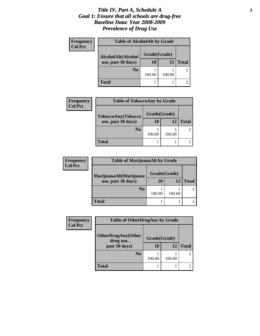#### *Title IV, Part A, Schedule A* **3** *Goal 1: Ensure that all schools are drug-free Baseline Data: Year 2008-2009 Prevalence of Drug Use*

| <b>Frequency</b> | <b>Table of AlcoholAlt by Grade</b> |              |        |              |
|------------------|-------------------------------------|--------------|--------|--------------|
| <b>Col Pct</b>   | AlcoholAlt(Alcohol                  | Grade(Grade) |        |              |
|                  | use, past 30 days)                  | 10           | 12     | <b>Total</b> |
|                  | N <sub>0</sub>                      | 100.00       | 100.00 |              |
|                  | <b>Total</b>                        |              |        |              |

| <b>Frequency</b> | <b>Table of TobaccoAny by Grade</b> |              |        |              |
|------------------|-------------------------------------|--------------|--------|--------------|
| <b>Col Pct</b>   | TobaccoAny(Tobacco                  | Grade(Grade) |        |              |
|                  | use, past 30 days)                  | 10           | 12     | <b>Total</b> |
|                  | N <sub>0</sub>                      | 100.00       | 100.00 |              |
|                  | <b>Total</b>                        |              |        |              |

| <b>Frequency</b> | <b>Table of MarijuanaAlt by Grade</b> |              |        |              |
|------------------|---------------------------------------|--------------|--------|--------------|
| <b>Col Pct</b>   | MarijuanaAlt(Marijuana                | Grade(Grade) |        |              |
|                  | use, past 30 days)                    | 10           | 12     | <b>Total</b> |
|                  | N <sub>0</sub>                        | 100.00       | 100.00 |              |
|                  | <b>Total</b>                          |              |        |              |

| <b>Frequency</b> | <b>Table of OtherDrugAny by Grade</b>  |              |        |              |  |
|------------------|----------------------------------------|--------------|--------|--------------|--|
| <b>Col Pct</b>   | <b>OtherDrugAny(Other</b><br>drug use, | Grade(Grade) |        |              |  |
|                  | past 30 days)                          | 10           | 12     | <b>Total</b> |  |
|                  | N <sub>0</sub>                         | 100.00       | 100.00 |              |  |
|                  | <b>Total</b>                           |              |        |              |  |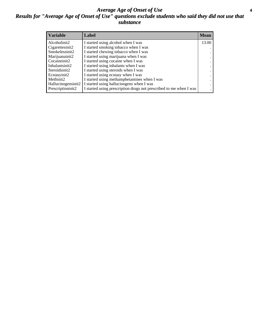#### *Average Age of Onset of Use* **4** *Results for "Average Age of Onset of Use" questions exclude students who said they did not use that substance*

| <b>Variable</b>    | Label                                                              | <b>Mean</b> |
|--------------------|--------------------------------------------------------------------|-------------|
| Alcoholinit2       | I started using alcohol when I was                                 | 13.00       |
| Cigarettesinit2    | I started smoking tobacco when I was                               |             |
| Smokelessinit2     | I started chewing tobacco when I was                               |             |
| Marijuanainit2     | I started using marijuana when I was                               |             |
| Cocaineinit2       | I started using cocaine when I was                                 |             |
| Inhalantsinit2     | I started using inhalants when I was                               |             |
| Steroidsinit2      | I started using steroids when I was                                |             |
| Ecstasyinit2       | I started using ecstasy when I was                                 |             |
| Methinit2          | I started using methamphetamines when I was                        |             |
| Hallucinogensinit2 | I started using hallucinogens when I was                           |             |
| Prescriptioninit2  | I started using prescription drugs not prescribed to me when I was |             |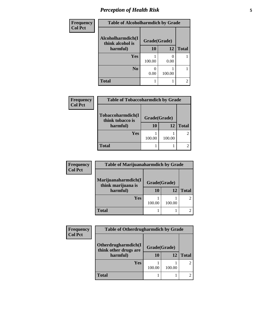# *Perception of Health Risk* **5**

| Frequency      | <b>Table of Alcoholharmdich by Grade</b> |              |        |              |
|----------------|------------------------------------------|--------------|--------|--------------|
| <b>Col Pct</b> | Alcoholharmdich(I<br>think alcohol is    | Grade(Grade) |        |              |
|                | harmful)                                 | 10           | 12     | <b>Total</b> |
|                | <b>Yes</b>                               | 100.00       | 0.00   |              |
|                | N <sub>0</sub>                           | 0.00         | 100.00 |              |
|                | <b>Total</b>                             |              |        | 2            |

| <b>Frequency</b> | <b>Table of Tobaccoharmdich by Grade</b>          |                          |        |                |
|------------------|---------------------------------------------------|--------------------------|--------|----------------|
| <b>Col Pct</b>   | Tobaccoharmdich(I<br>think tobacco is<br>harmful) | Grade(Grade)<br>10<br>12 |        | <b>Total</b>   |
|                  | <b>Yes</b>                                        | 100.00                   | 100.00 | $\overline{2}$ |
|                  | Total                                             |                          |        |                |

| <b>Frequency</b> | <b>Table of Marijuanaharmdich by Grade</b> |                                    |        |                             |  |
|------------------|--------------------------------------------|------------------------------------|--------|-----------------------------|--|
| <b>Col Pct</b>   | Marijuanaharmdich(I                        | Grade(Grade)<br>think marijuana is |        |                             |  |
|                  | harmful)                                   | 10                                 | 12     | <b>Total</b>                |  |
|                  | <b>Yes</b>                                 | 100.00                             | 100.00 | $\mathcal{D}_{\mathcal{L}}$ |  |
|                  | <b>Total</b>                               |                                    |        | $\mathcal{D}_{\mathcal{L}}$ |  |

| <b>Frequency</b><br><b>Col Pct</b> | <b>Table of Otherdrugharmdich by Grade</b> |                                       |        |                |  |  |
|------------------------------------|--------------------------------------------|---------------------------------------|--------|----------------|--|--|
|                                    | Otherdrugharmdich(I                        | Grade(Grade)<br>think other drugs are |        |                |  |  |
|                                    | harmful)                                   | 10                                    | 12     | <b>Total</b>   |  |  |
|                                    | <b>Yes</b>                                 | 100.00                                | 100.00 | $\overline{2}$ |  |  |
|                                    |                                            |                                       |        |                |  |  |
|                                    | <b>Total</b>                               |                                       |        |                |  |  |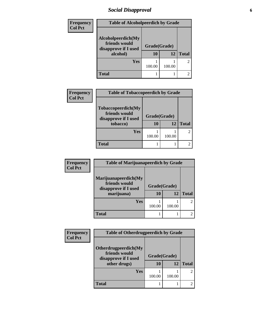# *Social Disapproval* **6**

| Frequency      | <b>Table of Alcoholpeerdich by Grade</b>                                |                    |        |                |
|----------------|-------------------------------------------------------------------------|--------------------|--------|----------------|
| <b>Col Pct</b> | Alcoholpeerdich(My<br>friends would<br>disapprove if I used<br>alcohol) | Grade(Grade)<br>10 | 12     | <b>Total</b>   |
|                | Yes                                                                     | 100.00             | 100.00 | $\mathfrak{D}$ |
|                | Total                                                                   |                    |        |                |

| Frequency<br><b>Col Pct</b> | <b>Table of Tobaccopeerdich by Grade</b>                                |                          |        |               |  |
|-----------------------------|-------------------------------------------------------------------------|--------------------------|--------|---------------|--|
|                             | Tobaccopeerdich(My<br>friends would<br>disapprove if I used<br>tobacco) | Grade(Grade)<br>10<br>12 |        | <b>Total</b>  |  |
|                             | Yes                                                                     | 100.00                   | 100.00 | $\mathcal{L}$ |  |
|                             | <b>Total</b>                                                            |                          |        |               |  |

| <b>Frequency</b><br><b>Col Pct</b> | <b>Table of Marijuanapeerdich by Grade</b>                                  |                    |        |               |
|------------------------------------|-----------------------------------------------------------------------------|--------------------|--------|---------------|
|                                    | Marijuanapeerdich(My<br>friends would<br>disapprove if I used<br>marijuana) | Grade(Grade)<br>10 | 12     | <b>Total</b>  |
|                                    | Yes                                                                         | 100.00             | 100.00 | $\mathcal{L}$ |
|                                    | <b>Total</b>                                                                |                    |        | 2.            |

| <b>Frequency</b> | <b>Table of Otherdrugpeerdich by Grade</b>                                    |                          |        |                             |
|------------------|-------------------------------------------------------------------------------|--------------------------|--------|-----------------------------|
| <b>Col Pct</b>   | Otherdrugpeerdich(My<br>friends would<br>disapprove if I used<br>other drugs) | Grade(Grade)<br>10<br>12 |        | <b>Total</b>                |
|                  | Yes                                                                           | 100.00                   | 100.00 | $\mathcal{D}_{\mathcal{L}}$ |
|                  | <b>Total</b>                                                                  |                          |        |                             |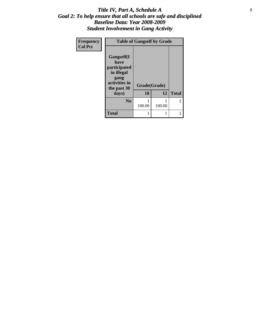#### *Title IV, Part A, Schedule A* **7** *Goal 2: To help ensure that all schools are safe and disciplined Baseline Data: Year 2008-2009 Student Involvement in Gang Activity*

| Frequency      | <b>Table of Gangself by Grade</b>                                                        |              |        |               |
|----------------|------------------------------------------------------------------------------------------|--------------|--------|---------------|
| <b>Col Pct</b> | Gangself(I<br>have<br>participated<br>in illegal<br>gang<br>activities in<br>the past 30 | Grade(Grade) |        |               |
|                | days)                                                                                    | 10           | 12     | <b>Total</b>  |
|                | N <sub>0</sub>                                                                           | 100.00       | 100.00 | $\mathcal{L}$ |
|                | <b>Total</b>                                                                             | 1            |        |               |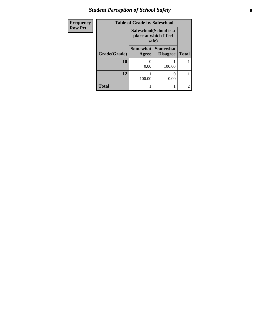# *Student Perception of School Safety* **8**

| Frequency      |              | <b>Table of Grade by Safeschool</b> |                                    |              |
|----------------|--------------|-------------------------------------|------------------------------------|--------------|
| <b>Row Pct</b> |              | place at which I feel<br>safe)      | Safeschool(School is a             |              |
|                | Grade(Grade) | <b>Somewhat</b><br>Agree            | <b>Somewhat</b><br><b>Disagree</b> | <b>Total</b> |
|                | 10           | 0.00                                | 100.00                             |              |
|                | 12           | 100.00                              | 0.00                               |              |
|                | <b>Total</b> |                                     |                                    | 2            |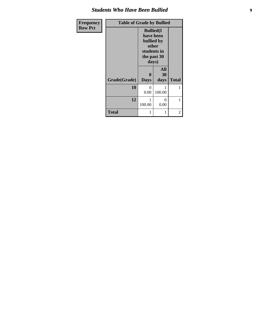#### *Students Who Have Been Bullied* **9**

| Frequency      | <b>Table of Grade by Bullied</b> |                                                                               |                   |              |
|----------------|----------------------------------|-------------------------------------------------------------------------------|-------------------|--------------|
| <b>Row Pct</b> |                                  | <b>Bullied</b> (I<br>have been<br>bullied by<br>other<br>the past 30<br>days) | students in       |              |
|                | Grade(Grade)                     | <b>Days</b>                                                                   | All<br>30<br>days | <b>Total</b> |
|                | 10                               | 0<br>0.00                                                                     | 100.00            | 1            |
|                | 12                               | 100.00                                                                        | 0<br>0.00         |              |
|                | <b>Total</b>                     |                                                                               | 1                 | 2            |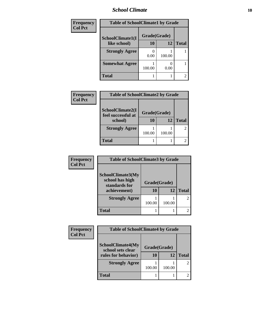#### *School Climate* **10**

| Frequency      | <b>Table of SchoolClimate1 by Grade</b> |              |        |              |
|----------------|-----------------------------------------|--------------|--------|--------------|
| <b>Col Pct</b> | SchoolClimate1(I                        | Grade(Grade) |        |              |
|                | like school)                            | 10           | 12     | <b>Total</b> |
|                | <b>Strongly Agree</b>                   | 0.00         | 100.00 |              |
|                | <b>Somewhat Agree</b>                   | 100.00       | 0.00   |              |
|                | <b>Total</b>                            |              |        | 2            |

| Frequency      | <b>Table of SchoolClimate2 by Grade</b> |        |              |              |
|----------------|-----------------------------------------|--------|--------------|--------------|
| <b>Col Pct</b> |                                         |        |              |              |
|                | SchoolClimate2(I<br>feel successful at  |        | Grade(Grade) |              |
|                | school)                                 | 10     | 12           | <b>Total</b> |
|                | <b>Strongly Agree</b>                   | 100.00 | 100.00       |              |
|                |                                         |        |              |              |
|                | <b>Total</b>                            |        |              |              |

| <b>Frequency</b><br><b>Col Pct</b> | <b>Table of SchoolClimate3 by Grade</b>                               |                    |        |               |
|------------------------------------|-----------------------------------------------------------------------|--------------------|--------|---------------|
|                                    | SchoolClimate3(My<br>school has high<br>standards for<br>achievement) | Grade(Grade)<br>10 | 12     | <b>Total</b>  |
|                                    | <b>Strongly Agree</b>                                                 | 100.00             | 100.00 | $\mathcal{L}$ |
|                                    | Total                                                                 |                    |        |               |

| Frequency      | <b>Table of SchoolClimate4 by Grade</b>                |           |        |              |
|----------------|--------------------------------------------------------|-----------|--------|--------------|
| <b>Col Pct</b> |                                                        |           |        |              |
|                | SchoolClimate4(My<br>Grade(Grade)<br>school sets clear |           |        |              |
|                | rules for behavior)                                    | <b>10</b> | 12     | <b>Total</b> |
|                | <b>Strongly Agree</b>                                  |           |        |              |
|                |                                                        | 100.00    | 100.00 |              |
|                | Total                                                  |           |        |              |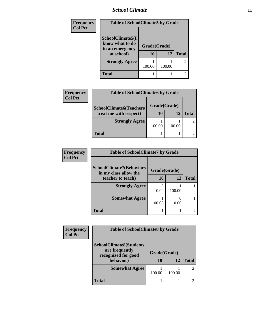### *School Climate* **11**

| Frequency      | <b>Table of SchoolClimate5 by Grade</b>                              |                    |        |                |
|----------------|----------------------------------------------------------------------|--------------------|--------|----------------|
| <b>Col Pct</b> | SchoolClimate5(I<br>know what to do<br>in an emergency<br>at school) | Grade(Grade)<br>10 | 12     | <b>Total</b>   |
|                | <b>Strongly Agree</b>                                                | 100.00             | 100.00 | $\overline{2}$ |
|                | <b>Total</b>                                                         |                    |        | 2              |

| <b>Frequency</b> | <b>Table of SchoolClimate6 by Grade</b> |              |        |              |  |
|------------------|-----------------------------------------|--------------|--------|--------------|--|
| <b>Col Pct</b>   | <b>SchoolClimate6(Teachers</b>          | Grade(Grade) |        |              |  |
|                  | treat me with respect)                  | 10           | 12     | <b>Total</b> |  |
|                  | <b>Strongly Agree</b>                   | 100.00       | 100.00 |              |  |
|                  | Total                                   |              |        |              |  |

| <b>Frequency</b> | <b>Table of SchoolClimate7 by Grade</b>                  |              |        |              |  |
|------------------|----------------------------------------------------------|--------------|--------|--------------|--|
| <b>Col Pct</b>   | <b>SchoolClimate7(Behaviors</b><br>in my class allow the | Grade(Grade) |        |              |  |
|                  | teacher to teach)                                        | 10           | 12     | <b>Total</b> |  |
|                  | <b>Strongly Agree</b>                                    | 0.00         | 100.00 |              |  |
|                  | <b>Somewhat Agree</b>                                    | 100.00       | 0.00   |              |  |
|                  | <b>Total</b>                                             |              |        |              |  |

| Frequency<br><b>Col Pct</b> | <b>Table of SchoolClimate8 by Grade</b>                                              |                    |        |              |
|-----------------------------|--------------------------------------------------------------------------------------|--------------------|--------|--------------|
|                             | <b>SchoolClimate8(Students</b><br>are frequently<br>recognized for good<br>behavior) | Grade(Grade)<br>10 | 12     | <b>Total</b> |
|                             | <b>Somewhat Agree</b>                                                                | 100.00             | 100.00 |              |
|                             | <b>Total</b>                                                                         |                    |        |              |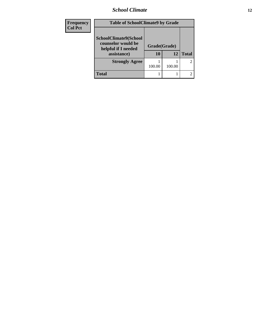#### *School Climate* **12**

| Frequency<br><b>Col Pct</b> | <b>Table of SchoolClimate9 by Grade</b>                                           |                    |        |                |
|-----------------------------|-----------------------------------------------------------------------------------|--------------------|--------|----------------|
|                             | SchoolClimate9(School<br>counselor would be<br>helpful if I needed<br>assistance) | Grade(Grade)<br>10 | 12     | <b>Total</b>   |
|                             | <b>Strongly Agree</b>                                                             | 100.00             | 100.00 | $\overline{2}$ |
|                             | Total                                                                             |                    |        | 2              |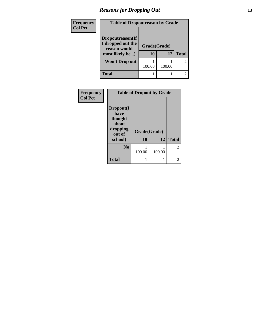#### *Reasons for Dropping Out* **13**

| Frequency<br><b>Col Pct</b> | <b>Table of Dropoutreason by Grade</b>                                   |                           |        |                |
|-----------------------------|--------------------------------------------------------------------------|---------------------------|--------|----------------|
|                             | Dropoutreason(If<br>I dropped out the<br>reason would<br>most likely be) | Grade(Grade)<br><b>10</b> | 12     | <b>Total</b>   |
|                             | Won't Drop out                                                           | 100.00                    | 100.00 | $\overline{2}$ |
|                             | <b>Total</b>                                                             |                           |        |                |

| Frequency<br><b>Col Pct</b> | <b>Table of Dropout by Grade</b>                            |              |        |                |  |
|-----------------------------|-------------------------------------------------------------|--------------|--------|----------------|--|
|                             | Dropout(I<br>have<br>thought<br>about<br>dropping<br>out of | Grade(Grade) |        |                |  |
|                             | school)                                                     | 10           | 12     | <b>Total</b>   |  |
|                             | N <sub>0</sub>                                              | 100.00       | 100.00 | $\overline{2}$ |  |
|                             | <b>Total</b>                                                |              |        | 2              |  |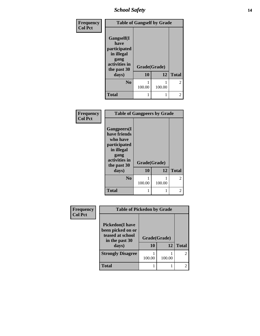# *School Safety* **14**

| Frequency      | <b>Table of Gangself by Grade</b>                                                                |              |        |               |
|----------------|--------------------------------------------------------------------------------------------------|--------------|--------|---------------|
| <b>Col Pct</b> | <b>Gangself</b> (I<br>have<br>participated<br>in illegal<br>gang<br>activities in<br>the past 30 | Grade(Grade) |        |               |
|                | days)                                                                                            | 10           | 12     | <b>Total</b>  |
|                | N <sub>0</sub>                                                                                   | 100.00       | 100.00 | $\mathcal{L}$ |
|                | <b>Total</b>                                                                                     | 1            | 1      |               |

| Frequency      | <b>Table of Gangpeers by Grade</b>                                                                                    |              |        |                |
|----------------|-----------------------------------------------------------------------------------------------------------------------|--------------|--------|----------------|
| <b>Col Pct</b> | <b>Gangpeers</b> (I<br>have friends<br>who have<br>participated<br>in illegal<br>gang<br>activities in<br>the past 30 | Grade(Grade) |        |                |
|                | days)                                                                                                                 | 10           | 12     | <b>Total</b>   |
|                | N <sub>0</sub>                                                                                                        | 100.00       | 100.00 | 2              |
|                | <b>Total</b>                                                                                                          |              | 1      | $\mathfrak{D}$ |

| <b>Frequency</b> | <b>Table of Pickedon by Grade</b>                                                           |                    |        |                |
|------------------|---------------------------------------------------------------------------------------------|--------------------|--------|----------------|
| <b>Col Pct</b>   | <b>Pickedon</b> (I have<br>been picked on or<br>teased at school<br>in the past 30<br>days) | Grade(Grade)<br>10 | 12     | <b>Total</b>   |
|                  | <b>Strongly Disagree</b>                                                                    | 100.00             | 100.00 | $\overline{c}$ |
|                  | <b>Total</b>                                                                                |                    |        | $\mathfrak{D}$ |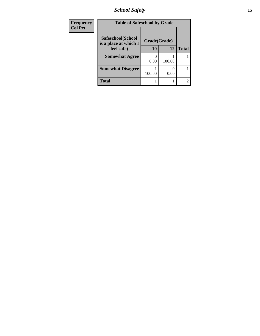*School Safety* **15**

| <b>Frequency</b> | <b>Table of Safeschool by Grade</b>        |              |        |              |
|------------------|--------------------------------------------|--------------|--------|--------------|
| <b>Col Pct</b>   | Safeschool(School<br>is a place at which I | Grade(Grade) |        |              |
|                  | feel safe)                                 | 10           | 12     | <b>Total</b> |
|                  | <b>Somewhat Agree</b>                      | 0.00         | 100.00 |              |
|                  | <b>Somewhat Disagree</b>                   | 100.00       | 0.00   |              |
|                  | <b>Total</b>                               |              |        | C            |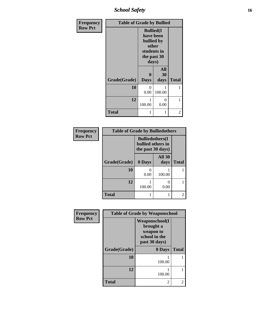*School Safety* **16**

| Frequency      | <b>Table of Grade by Bullied</b>                                                             |                            |                   |                |
|----------------|----------------------------------------------------------------------------------------------|----------------------------|-------------------|----------------|
| <b>Row Pct</b> | <b>Bullied(I)</b><br>have been<br>bullied by<br>other<br>students in<br>the past 30<br>days) |                            |                   |                |
|                | Grade(Grade)                                                                                 | $\mathbf 0$<br><b>Days</b> | All<br>30<br>days | <b>Total</b>   |
|                | 10                                                                                           | 0<br>0.00                  | 100.00            |                |
|                | 12                                                                                           | 100.00                     | 0<br>0.00         | 1              |
|                | <b>Total</b>                                                                                 | 1                          | 1                 | $\overline{2}$ |

| Frequency      | <b>Table of Grade by Bulliedothers</b> |                                                                   |                       |                             |
|----------------|----------------------------------------|-------------------------------------------------------------------|-----------------------|-----------------------------|
| <b>Row Pct</b> |                                        | <b>Bulliedothers</b> (I<br>bullied others in<br>the past 30 days) |                       |                             |
|                | Grade(Grade)                           | 0 Days                                                            | <b>All 30</b><br>days | <b>Total</b>                |
|                | 10                                     | $\mathbf{0}$<br>0.00                                              | 100.00                |                             |
|                | 12                                     | 100.00                                                            | 0.00                  |                             |
|                | <b>Total</b>                           |                                                                   |                       | $\mathcal{D}_{\mathcal{A}}$ |

| Frequency      | <b>Table of Grade by Weaponschool</b> |                                                                                    |              |
|----------------|---------------------------------------|------------------------------------------------------------------------------------|--------------|
| <b>Row Pct</b> |                                       | <b>Weaponschool</b> (I<br>brought a<br>weapon to<br>school in the<br>past 30 days) |              |
|                | Grade(Grade)                          | 0 Days                                                                             | <b>Total</b> |
|                | 10                                    | 100.00                                                                             |              |
|                | 12                                    | 100.00                                                                             |              |
|                | <b>Total</b>                          | 2                                                                                  | 2            |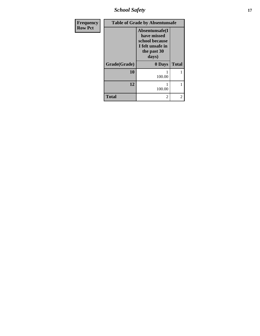*School Safety* **17**

| Frequency      |              | <b>Table of Grade by Absentunsafe</b>                                                       |                             |
|----------------|--------------|---------------------------------------------------------------------------------------------|-----------------------------|
| <b>Row Pct</b> |              | Absentunsafe(I<br>have missed<br>school because<br>I felt unsafe in<br>the past 30<br>days) |                             |
|                | Grade(Grade) | 0 Days                                                                                      | <b>Total</b>                |
|                | 10           | 100.00                                                                                      |                             |
|                | 12           | 100.00                                                                                      |                             |
|                | <b>Total</b> | 2                                                                                           | $\mathcal{D}_{\mathcal{L}}$ |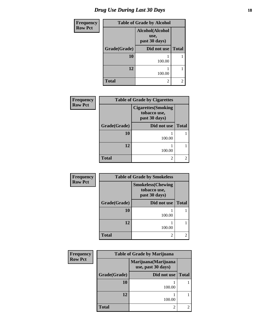# *Drug Use During Last 30 Days* **18**

| <b>Frequency</b> | <b>Table of Grade by Alcohol</b> |                                          |              |
|------------------|----------------------------------|------------------------------------------|--------------|
| <b>Row Pct</b>   |                                  | Alcohol(Alcohol<br>use,<br>past 30 days) |              |
|                  | Grade(Grade)                     | Did not use                              | <b>Total</b> |
|                  | 10                               | 100.00                                   |              |
|                  | 12                               | 100.00                                   |              |
|                  | <b>Total</b>                     | 2                                        | 2            |

| Frequency      | <b>Table of Grade by Cigarettes</b> |                                                            |              |
|----------------|-------------------------------------|------------------------------------------------------------|--------------|
| <b>Row Pct</b> |                                     | <b>Cigarettes(Smoking</b><br>tobacco use,<br>past 30 days) |              |
|                | Grade(Grade)                        | Did not use                                                | <b>Total</b> |
|                | 10                                  | 100.00                                                     |              |
|                | 12                                  | 100.00                                                     |              |
|                | <b>Total</b>                        | 2                                                          |              |

| <b>Frequency</b> | <b>Table of Grade by Smokeless</b> |                                                            |              |
|------------------|------------------------------------|------------------------------------------------------------|--------------|
| <b>Row Pct</b>   |                                    | <b>Smokeless</b> (Chewing<br>tobacco use,<br>past 30 days) |              |
|                  | Grade(Grade)                       | Did not use                                                | <b>Total</b> |
|                  | 10                                 | 100.00                                                     |              |
|                  | 12                                 | 100.00                                                     |              |
|                  | <b>Total</b>                       | 2                                                          | 2            |

| Frequency      | <b>Table of Grade by Marijuana</b> |                                            |              |
|----------------|------------------------------------|--------------------------------------------|--------------|
| <b>Row Pct</b> |                                    | Marijuana (Marijuana<br>use, past 30 days) |              |
|                | Grade(Grade)                       | Did not use                                | <b>Total</b> |
|                | 10                                 | 100.00                                     |              |
|                | 12                                 | 100.00                                     |              |
|                | <b>Total</b>                       | 2                                          |              |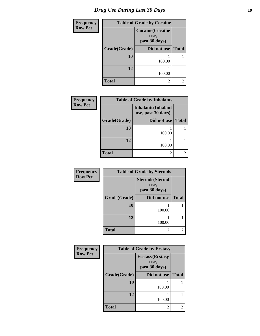| <b>Frequency</b> | <b>Table of Grade by Cocaine</b> |                                                  |                |
|------------------|----------------------------------|--------------------------------------------------|----------------|
| <b>Row Pct</b>   |                                  | <b>Cocaine</b> (Cocaine<br>use,<br>past 30 days) |                |
|                  | Grade(Grade)                     | Did not use                                      | <b>Total</b>   |
|                  | 10                               | 100.00                                           |                |
|                  | 12                               | 100.00                                           |                |
|                  | <b>Total</b>                     | 2                                                | $\overline{c}$ |

| Frequency      | <b>Table of Grade by Inhalants</b> |                                                  |              |
|----------------|------------------------------------|--------------------------------------------------|--------------|
| <b>Row Pct</b> |                                    | <b>Inhalants</b> (Inhalant<br>use, past 30 days) |              |
|                | Grade(Grade)                       | Did not use                                      | <b>Total</b> |
|                | 10                                 | 100.00                                           |              |
|                | 12                                 | 100.00                                           |              |
|                | <b>Total</b>                       | 2                                                |              |

| Frequency      | <b>Table of Grade by Steroids</b> |                                                   |              |
|----------------|-----------------------------------|---------------------------------------------------|--------------|
| <b>Row Pct</b> |                                   | <b>Steroids</b> (Steroid<br>use,<br>past 30 days) |              |
|                | Grade(Grade)                      | Did not use                                       | <b>Total</b> |
|                | 10                                | 100.00                                            |              |
|                | 12                                | 100.00                                            |              |
|                | <b>Total</b>                      | 2                                                 | 2            |

| Frequency      | <b>Table of Grade by Ecstasy</b> |                                                  |              |
|----------------|----------------------------------|--------------------------------------------------|--------------|
| <b>Row Pct</b> |                                  | <b>Ecstasy</b> (Ecstasy<br>use,<br>past 30 days) |              |
|                | Grade(Grade)                     | Did not use                                      | <b>Total</b> |
|                | 10                               | 100.00                                           |              |
|                | 12                               | 100.00                                           |              |
|                | <b>Total</b>                     | 2                                                |              |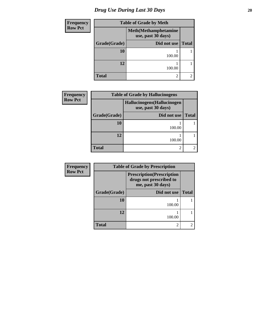# *Drug Use During Last 30 Days* 20

| <b>Frequency</b> | <b>Table of Grade by Meth</b> |                                                    |              |
|------------------|-------------------------------|----------------------------------------------------|--------------|
| <b>Row Pct</b>   |                               | <b>Meth</b> (Methamphetamine<br>use, past 30 days) |              |
|                  | Grade(Grade)                  | Did not use                                        | <b>Total</b> |
|                  | 10                            | 100.00                                             |              |
|                  | 12                            | 100.00                                             |              |
|                  | <b>Total</b>                  | 2                                                  | 2            |

| <b>Frequency</b> | <b>Table of Grade by Hallucinogens</b> |                                                   |              |  |
|------------------|----------------------------------------|---------------------------------------------------|--------------|--|
| <b>Row Pct</b>   |                                        | Hallucinogens (Hallucinogen<br>use, past 30 days) |              |  |
|                  | Grade(Grade)                           | Did not use                                       | <b>Total</b> |  |
|                  | 10                                     | 100.00                                            |              |  |
|                  | 12                                     | 100.00                                            |              |  |
|                  | <b>Total</b>                           | ി                                                 |              |  |

| <b>Frequency</b> | <b>Table of Grade by Prescription</b>                                             |             |              |  |
|------------------|-----------------------------------------------------------------------------------|-------------|--------------|--|
| <b>Row Pct</b>   | <b>Prescription</b> (Prescription<br>drugs not prescribed to<br>me, past 30 days) |             |              |  |
|                  | Grade(Grade)                                                                      | Did not use | <b>Total</b> |  |
|                  | 10                                                                                | 100.00      |              |  |
|                  | 12                                                                                | 100.00      |              |  |
|                  | <b>Total</b>                                                                      | 2           |              |  |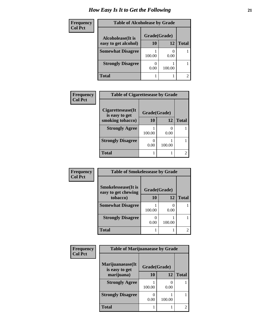### *How Easy Is It to Get the Following* **21**

| <b>Frequency</b> | <b>Table of Alcoholease by Grade</b> |        |              |                |
|------------------|--------------------------------------|--------|--------------|----------------|
| <b>Col Pct</b>   | Alcoholease(It is                    |        | Grade(Grade) |                |
|                  | easy to get alcohol)                 | 10     | 12           | <b>Total</b>   |
|                  | <b>Somewhat Disagree</b>             | 100.00 | 0.00         |                |
|                  | <b>Strongly Disagree</b>             | 0.00   | 100.00       |                |
|                  | <b>Total</b>                         |        |              | $\overline{2}$ |

| Frequency      | <b>Table of Cigarettesease by Grade</b> |              |        |              |  |
|----------------|-----------------------------------------|--------------|--------|--------------|--|
| <b>Col Pct</b> | Cigarettesease(It)                      | Grade(Grade) |        |              |  |
|                | is easy to get<br>smoking tobacco)      | 10           | 12     | <b>Total</b> |  |
|                | <b>Strongly Agree</b>                   | 100.00       | 0.00   |              |  |
|                | <b>Strongly Disagree</b>                | 0.00         | 100.00 |              |  |
|                | <b>Total</b>                            |              |        |              |  |

| Frequency      | <b>Table of Smokelessease by Grade</b>                             |        |        |              |  |
|----------------|--------------------------------------------------------------------|--------|--------|--------------|--|
| <b>Col Pct</b> | <b>Smokelessease</b> (It is<br>Grade(Grade)<br>easy to get chewing |        |        |              |  |
|                | tobacco)                                                           | 10     | 12     | <b>Total</b> |  |
|                | <b>Somewhat Disagree</b>                                           | 100.00 | 0.00   |              |  |
|                | <b>Strongly Disagree</b>                                           | 0.00   | 100.00 |              |  |
|                | <b>Total</b>                                                       |        |        | 2            |  |

| Frequency      | <b>Table of Marijuanaease by Grade</b> |              |        |              |  |
|----------------|----------------------------------------|--------------|--------|--------------|--|
| <b>Col Pct</b> | Marijuanaease(It<br>is easy to get     | Grade(Grade) |        |              |  |
|                | marijuana)                             | 10           | 12     | <b>Total</b> |  |
|                | <b>Strongly Agree</b>                  | 100.00       | 0.00   |              |  |
|                | <b>Strongly Disagree</b>               | 0.00         | 100.00 |              |  |
|                | <b>Total</b>                           |              |        | 2            |  |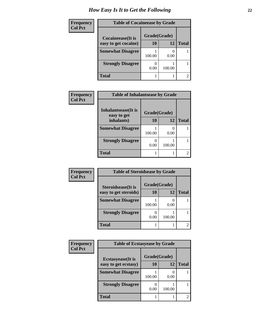### *How Easy Is It to Get the Following* **22**

| <b>Frequency</b> | <b>Table of Cocaineease by Grade</b>      |        |        |                |  |
|------------------|-------------------------------------------|--------|--------|----------------|--|
| <b>Col Pct</b>   | Grade(Grade)<br><b>Cocaineease</b> (It is |        |        |                |  |
|                  | easy to get cocaine)                      | 10     | 12     | <b>Total</b>   |  |
|                  | <b>Somewhat Disagree</b>                  | 100.00 | 0.00   |                |  |
|                  | <b>Strongly Disagree</b>                  | 0.00   | 100.00 |                |  |
|                  | <b>Total</b>                              |        |        | $\mathfrak{D}$ |  |

| Frequency      | <b>Table of Inhalantsease by Grade</b> |              |        |              |
|----------------|----------------------------------------|--------------|--------|--------------|
| <b>Col Pct</b> | Inhalantsease (It is<br>easy to get    | Grade(Grade) |        |              |
|                | inhalants)                             | 10           | 12     | <b>Total</b> |
|                | <b>Somewhat Disagree</b>               | 100.00       | 0.00   |              |
|                | <b>Strongly Disagree</b>               | 0.00         | 100.00 |              |
|                | <b>Total</b>                           |              |        |              |

| Frequency      | <b>Table of Steroidsease by Grade</b> |              |        |              |
|----------------|---------------------------------------|--------------|--------|--------------|
| <b>Col Pct</b> | Steroidsease(It is                    | Grade(Grade) |        |              |
|                | easy to get steroids)                 | 10           | 12     | <b>Total</b> |
|                | <b>Somewhat Disagree</b>              | 100.00       | 0.00   |              |
|                | <b>Strongly Disagree</b>              | 0.00         | 100.00 |              |
|                | <b>Total</b>                          |              |        |              |

| Frequency      | <b>Table of Ecstasyease by Grade</b>      |        |        |              |  |
|----------------|-------------------------------------------|--------|--------|--------------|--|
| <b>Col Pct</b> | Grade(Grade)<br><b>Ecstasyease</b> (It is |        |        |              |  |
|                | easy to get ecstasy)                      | 10     | 12     | <b>Total</b> |  |
|                | <b>Somewhat Disagree</b>                  | 100.00 | 0.00   |              |  |
|                | <b>Strongly Disagree</b>                  | 0.00   | 100.00 |              |  |
|                | Total                                     |        |        | ി            |  |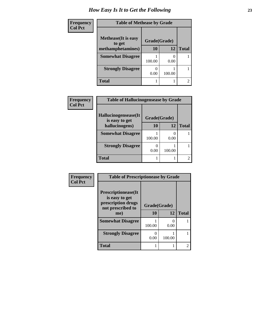### *How Easy Is It to Get the Following* **23**

| Frequency |
|-----------|
| Col Pct   |

| <b>Table of Methease by Grade</b>     |                          |        |   |  |  |  |  |
|---------------------------------------|--------------------------|--------|---|--|--|--|--|
| <b>Methease</b> (It is easy<br>to get | Grade(Grade)<br>10<br>12 |        |   |  |  |  |  |
| methamphetamines)                     |                          |        |   |  |  |  |  |
| <b>Somewhat Disagree</b>              | 100.00                   | 0.00   |   |  |  |  |  |
| <b>Strongly Disagree</b>              | 0.00                     | 100.00 |   |  |  |  |  |
| <b>Total</b>                          |                          |        | 2 |  |  |  |  |

| Frequency      | <b>Table of Hallucinogensease by Grade</b> |              |        |                             |  |  |
|----------------|--------------------------------------------|--------------|--------|-----------------------------|--|--|
| <b>Col Pct</b> |                                            |              |        |                             |  |  |
|                | Hallucinogensease(It<br>is easy to get     | Grade(Grade) |        |                             |  |  |
|                | hallucinogens)                             | 10           | 12     | <b>Total</b>                |  |  |
|                | <b>Somewhat Disagree</b>                   | 100.00       | 0.00   |                             |  |  |
|                | <b>Strongly Disagree</b>                   | 0.00         | 100.00 |                             |  |  |
|                | <b>Total</b>                               |              |        | $\mathcal{D}_{\mathcal{L}}$ |  |  |
|                |                                            |              |        |                             |  |  |

| Frequency      | <b>Table of Prescriptionease by Grade</b>                 |              |                           |                |
|----------------|-----------------------------------------------------------|--------------|---------------------------|----------------|
| <b>Col Pct</b> | <b>Prescriptionease</b> (It                               |              |                           |                |
|                | is easy to get<br>prescription drugs<br>not prescribed to | Grade(Grade) |                           |                |
|                | me)                                                       | <b>10</b>    | 12                        | <b>Total</b>   |
|                | <b>Somewhat Disagree</b>                                  | 100.00       | $\mathbf{\Omega}$<br>0.00 |                |
|                | <b>Strongly Disagree</b>                                  | ∩<br>0.00    | 100.00                    |                |
|                | <b>Total</b>                                              |              |                           | $\mathfrak{D}$ |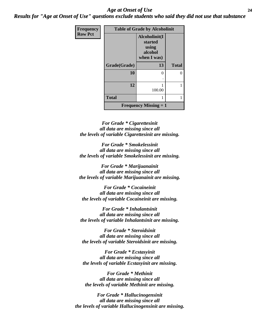#### *Age at Onset of Use* **24** *Results for "Age at Onset of Use" questions exclude students who said they did not use that substance*

**R** 

| Frequency      | <b>Table of Grade by Alcoholinit</b> |                                                             |              |  |  |
|----------------|--------------------------------------|-------------------------------------------------------------|--------------|--|--|
| <b>Row Pct</b> |                                      | Alcoholinit(I<br>started<br>using<br>alcohol<br>when I was) |              |  |  |
|                | Grade(Grade)                         | 13                                                          | <b>Total</b> |  |  |
|                | 10                                   | 0                                                           | 0            |  |  |
|                |                                      |                                                             |              |  |  |
|                | 12                                   | 100.00                                                      |              |  |  |
|                | <b>Total</b>                         |                                                             |              |  |  |
|                |                                      | <b>Frequency Missing = 1</b>                                |              |  |  |

*For Grade \* Cigarettesinit all data are missing since all the levels of variable Cigarettesinit are missing.*

*For Grade \* Smokelessinit all data are missing since all the levels of variable Smokelessinit are missing.*

*For Grade \* Marijuanainit all data are missing since all the levels of variable Marijuanainit are missing.*

*For Grade \* Cocaineinit all data are missing since all the levels of variable Cocaineinit are missing.*

*For Grade \* Inhalantsinit all data are missing since all the levels of variable Inhalantsinit are missing.*

*For Grade \* Steroidsinit all data are missing since all the levels of variable Steroidsinit are missing.*

*For Grade \* Ecstasyinit all data are missing since all the levels of variable Ecstasyinit are missing.*

*For Grade \* Methinit all data are missing since all the levels of variable Methinit are missing.*

*For Grade \* Hallucinogensinit all data are missing since all the levels of variable Hallucinogensinit are missing.*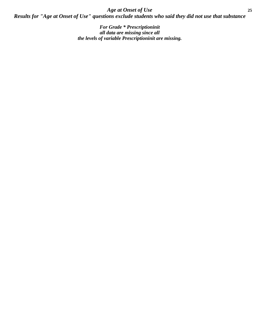*Age at Onset of Use* **25** *Results for "Age at Onset of Use" questions exclude students who said they did not use that substance*

> *For Grade \* Prescriptioninit all data are missing since all the levels of variable Prescriptioninit are missing.*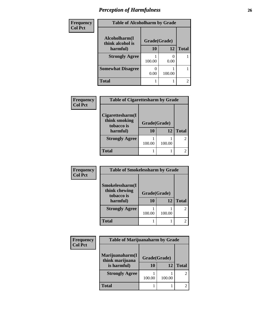### *Perception of Harmfulness* **26**

| Frequency      | <b>Table of Alcoholharm by Grade</b> |              |        |              |
|----------------|--------------------------------------|--------------|--------|--------------|
| <b>Col Pct</b> | Alcoholharm(I<br>think alcohol is    | Grade(Grade) |        |              |
|                | harmful)                             | 10           | 12     | <b>Total</b> |
|                | <b>Strongly Agree</b>                | 100.00       | 0.00   |              |
|                | <b>Somewhat Disagree</b>             | 0.00         | 100.00 |              |
|                | <b>Total</b>                         |              |        | 2            |

| <b>Frequency</b> | <b>Table of Cigarettesharm by Grade</b>                     |                    |        |                |
|------------------|-------------------------------------------------------------|--------------------|--------|----------------|
| <b>Col Pct</b>   | Cigarettesharm(I<br>think smoking<br>tobacco is<br>harmful) | Grade(Grade)<br>10 | 12     | <b>Total</b>   |
|                  | <b>Strongly Agree</b>                                       | 100.00             | 100.00 | $\overline{2}$ |
|                  | <b>Total</b>                                                |                    |        |                |

| <b>Frequency</b> | <b>Table of Smokelessharm by Grade</b>                     |                           |        |              |
|------------------|------------------------------------------------------------|---------------------------|--------|--------------|
| <b>Col Pct</b>   | Smokelessharm(I<br>think chewing<br>tobacco is<br>harmful) | Grade(Grade)<br><b>10</b> | 12     | <b>Total</b> |
|                  | <b>Strongly Agree</b>                                      | 100.00                    | 100.00 |              |
|                  | <b>Total</b>                                               |                           |        |              |

| Frequency      | <b>Table of Marijuanaharm by Grade</b> |              |        |              |
|----------------|----------------------------------------|--------------|--------|--------------|
| <b>Col Pct</b> |                                        |              |        |              |
|                | Marijuanaharm(I<br>think marijuana     | Grade(Grade) |        |              |
|                | is harmful)                            | 10           | 12     | <b>Total</b> |
|                | <b>Strongly Agree</b>                  | 100.00       | 100.00 |              |
|                | <b>Total</b>                           |              |        |              |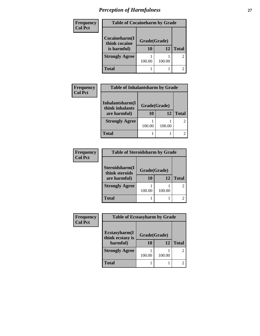# *Perception of Harmfulness* **27**

| Frequency<br><b>Col Pct</b> | <b>Table of Cocaineharm by Grade</b> |                               |        |              |  |
|-----------------------------|--------------------------------------|-------------------------------|--------|--------------|--|
|                             | Cocaineharm(I                        | Grade(Grade)<br>think cocaine |        |              |  |
|                             | is harmful)                          | 10                            | 12     | <b>Total</b> |  |
|                             | <b>Strongly Agree</b>                | 100.00                        | 100.00 | 2            |  |
|                             | <b>Total</b>                         |                               |        |              |  |

| <b>Frequency</b> | <b>Table of Inhalantsharm by Grade</b> |              |        |              |  |  |
|------------------|----------------------------------------|--------------|--------|--------------|--|--|
| <b>Col Pct</b>   |                                        |              |        |              |  |  |
|                  | Inhalantsharm(I<br>think inhalants     | Grade(Grade) |        |              |  |  |
|                  | are harmful)                           | 10           | 12     | <b>Total</b> |  |  |
|                  | <b>Strongly Agree</b>                  | 100.00       | 100.00 |              |  |  |
|                  | <b>Total</b>                           |              |        |              |  |  |

| Frequency      | <b>Table of Steroidsharm by Grade</b>            |           |        |                |
|----------------|--------------------------------------------------|-----------|--------|----------------|
| <b>Col Pct</b> |                                                  |           |        |                |
|                | Steroidsharm(I<br>Grade(Grade)<br>think steroids |           |        |                |
|                | are harmful)                                     | <b>10</b> | 12     | <b>Total</b>   |
|                | <b>Strongly Agree</b>                            | 100.00    | 100.00 | 2              |
|                | <b>Total</b>                                     |           |        | $\mathfrak{D}$ |

| Frequency      | <b>Table of Ecstasyharm by Grade</b> |              |        |              |  |  |
|----------------|--------------------------------------|--------------|--------|--------------|--|--|
| <b>Col Pct</b> |                                      |              |        |              |  |  |
|                | Ecstasyharm(I<br>think ecstasy is    | Grade(Grade) |        |              |  |  |
|                | harmful)                             | <b>10</b>    | 12     | <b>Total</b> |  |  |
|                | <b>Strongly Agree</b>                | 100.00       | 100.00 |              |  |  |
|                | <b>Total</b>                         |              |        |              |  |  |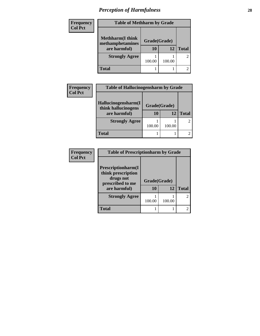# *Perception of Harmfulness* **28**

| <b>Frequency</b> | <b>Table of Methharm by Grade</b> |              |        |                |
|------------------|-----------------------------------|--------------|--------|----------------|
| <b>Col Pct</b>   | <b>Methharm(I think</b>           |              |        |                |
|                  | methamphetamines                  | Grade(Grade) |        |                |
|                  | are harmful)                      | 10           | 12     | <b>Total</b>   |
|                  | <b>Strongly Agree</b>             |              |        | $\overline{c}$ |
|                  |                                   | 100.00       | 100.00 |                |
|                  | <b>Total</b>                      |              |        | 2              |

| <b>Frequency</b>                    | <b>Table of Hallucinogensharm by Grade</b> |              |              |  |  |
|-------------------------------------|--------------------------------------------|--------------|--------------|--|--|
| <b>Col Pct</b>                      | Hallucinogensharm(I                        | Grade(Grade) |              |  |  |
| think hallucinogens<br>are harmful) | 10                                         | 12           | <b>Total</b> |  |  |
|                                     | <b>Strongly Agree</b>                      | 100.00       | 100.00       |  |  |
|                                     | <b>Total</b>                               |              |              |  |  |

| Frequency      | <b>Table of Prescriptionharm by Grade</b>                                                         |                    |        |                             |
|----------------|---------------------------------------------------------------------------------------------------|--------------------|--------|-----------------------------|
| <b>Col Pct</b> | <b>Prescriptionharm(I)</b><br>think prescription<br>drugs not<br>prescribed to me<br>are harmful) | Grade(Grade)<br>10 | 12     | <b>Total</b>                |
|                | <b>Strongly Agree</b>                                                                             | 100.00             | 100.00 | $\mathcal{D}_{\mathcal{L}}$ |
|                | <b>Total</b>                                                                                      |                    |        | $\mathfrak{D}$              |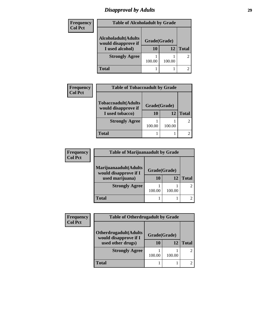### *Disapproval by Adults* **29**

| Frequency      | <b>Table of Alcoholadult by Grade</b>              |              |        |                |
|----------------|----------------------------------------------------|--------------|--------|----------------|
| <b>Col Pct</b> |                                                    |              |        |                |
|                | <b>Alcoholadult</b> (Adults<br>would disapprove if | Grade(Grade) |        |                |
|                | I used alcohol)                                    | 10           | 12     | <b>Total</b>   |
|                | <b>Strongly Agree</b>                              | 100.00       | 100.00 | $\overline{2}$ |
|                | <b>Total</b>                                       |              |        |                |

| <b>Frequency</b> | <b>Table of Tobaccoadult by Grade</b>              |              |        |              |  |
|------------------|----------------------------------------------------|--------------|--------|--------------|--|
| <b>Col Pct</b>   |                                                    |              |        |              |  |
|                  | <b>Tobaccoadult</b> (Adults<br>would disapprove if | Grade(Grade) |        |              |  |
|                  | I used tobacco)                                    | 10           | 12     | <b>Total</b> |  |
|                  | <b>Strongly Agree</b>                              | 100.00       | 100.00 |              |  |
|                  | <b>Total</b>                                       |              |        |              |  |

| <b>Frequency</b> | <b>Table of Marijuanaadult by Grade</b>        |        |              |              |
|------------------|------------------------------------------------|--------|--------------|--------------|
| <b>Col Pct</b>   |                                                |        |              |              |
|                  | Marijuanaadult(Adults<br>would disapprove if I |        | Grade(Grade) |              |
|                  | used marijuana)                                | 10     | 12           | <b>Total</b> |
|                  | <b>Strongly Agree</b>                          | 100.00 | 100.00       |              |
|                  | <b>Total</b>                                   |        |              |              |

| <b>Frequency</b><br><b>Col Pct</b> | <b>Table of Otherdrugadult by Grade</b>                |              |        |                             |
|------------------------------------|--------------------------------------------------------|--------------|--------|-----------------------------|
|                                    | <b>Otherdrugadult</b> (Adults<br>would disapprove if I | Grade(Grade) |        |                             |
|                                    | used other drugs)                                      | 10           | 12     | <b>Total</b>                |
|                                    | <b>Strongly Agree</b>                                  | 100.00       | 100.00 | $\mathcal{D}_{\mathcal{L}}$ |
|                                    | <b>Total</b>                                           |              |        |                             |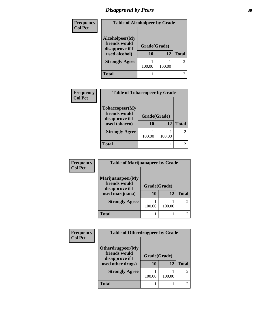# *Disapproval by Peers* 30

| Frequency<br><b>Col Pct</b> | <b>Table of Alcoholpeer by Grade</b>                                |                    |        |                |
|-----------------------------|---------------------------------------------------------------------|--------------------|--------|----------------|
|                             | Alcoholpeer(My<br>friends would<br>disapprove if I<br>used alcohol) | Grade(Grade)<br>10 | 12     | <b>Total</b>   |
|                             | <b>Strongly Agree</b>                                               | 100.00             | 100.00 | $\overline{c}$ |
|                             | <b>Total</b>                                                        |                    |        | $\mathfrak{D}$ |

| Frequency      | <b>Table of Tobaccopeer by Grade</b>                                |                    |        |              |
|----------------|---------------------------------------------------------------------|--------------------|--------|--------------|
| <b>Col Pct</b> | Tobaccopeer(My<br>friends would<br>disapprove if I<br>used tobacco) | Grade(Grade)<br>10 | 12     | <b>Total</b> |
|                | <b>Strongly Agree</b>                                               |                    |        |              |
|                |                                                                     | 100.00             | 100.00 |              |
|                | Total                                                               |                    |        |              |

| <b>Frequency</b> | <b>Table of Marijuanapeer by Grade</b>                                  |                    |        |              |
|------------------|-------------------------------------------------------------------------|--------------------|--------|--------------|
| <b>Col Pct</b>   | Marijuanapeer(My<br>friends would<br>disapprove if I<br>used marijuana) | Grade(Grade)<br>10 | 12     | <b>Total</b> |
|                  | <b>Strongly Agree</b>                                                   | 100.00             | 100.00 |              |
|                  | <b>Total</b>                                                            |                    |        |              |

| Frequency      | <b>Table of Otherdrugpeer by Grade</b>                                    |                    |        |              |
|----------------|---------------------------------------------------------------------------|--------------------|--------|--------------|
| <b>Col Pct</b> | Otherdrugpeer(My<br>friends would<br>disapprove if I<br>used other drugs) | Grade(Grade)<br>10 | 12     | <b>Total</b> |
|                | <b>Strongly Agree</b>                                                     | 100.00             | 100.00 |              |
|                | <b>Total</b>                                                              |                    |        |              |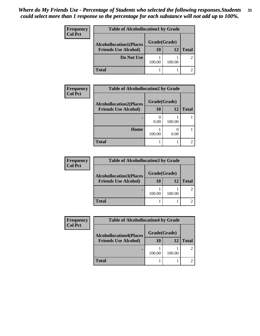| Frequency<br><b>Col Pct</b> | <b>Table of Alcohollocation1 by Grade</b> |              |        |              |  |
|-----------------------------|-------------------------------------------|--------------|--------|--------------|--|
|                             | <b>Alcohollocation1(Places</b>            | Grade(Grade) |        |              |  |
|                             | <b>Friends Use Alcohol)</b>               | 10           | 12     | <b>Total</b> |  |
|                             | Do Not Use                                | 100.00       | 100.00 |              |  |
|                             | <b>Total</b>                              |              |        |              |  |

| Frequency<br><b>Col Pct</b> | <b>Table of Alcohollocation2 by Grade</b> |              |        |              |
|-----------------------------|-------------------------------------------|--------------|--------|--------------|
|                             | <b>Alcohollocation2(Places</b>            | Grade(Grade) |        |              |
|                             | <b>Friends Use Alcohol)</b>               | 10           | 12     | <b>Total</b> |
|                             |                                           | 0.00         | 100.00 |              |
|                             | Home                                      | 100.00       | 0.00   |              |
|                             | <b>Total</b>                              |              |        |              |

| <b>Frequency</b> | <b>Table of Alcohollocation 3 by Grade</b> |              |        |              |  |
|------------------|--------------------------------------------|--------------|--------|--------------|--|
| <b>Col Pct</b>   | <b>Alcohollocation3(Places</b>             | Grade(Grade) |        |              |  |
|                  | <b>Friends Use Alcohol)</b>                | 10           | 12     | <b>Total</b> |  |
|                  |                                            | 100.00       | 100.00 |              |  |
|                  | <b>Total</b>                               |              |        |              |  |

| Frequency      | <b>Table of Alcohollocation4 by Grade</b> |              |        |              |
|----------------|-------------------------------------------|--------------|--------|--------------|
| <b>Col Pct</b> | <b>Alcohollocation4(Places</b>            | Grade(Grade) |        |              |
|                | <b>Friends Use Alcohol)</b>               | 10           | 12     | <b>Total</b> |
|                |                                           | 100.00       | 100.00 |              |
|                | <b>Total</b>                              |              |        |              |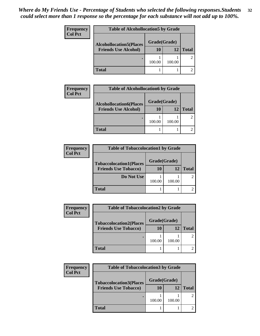| <b>Frequency</b> | <b>Table of Alcohollocation5 by Grade</b>      |        |        |              |  |
|------------------|------------------------------------------------|--------|--------|--------------|--|
| <b>Col Pct</b>   | Grade(Grade)<br><b>Alcohollocation5(Places</b> |        |        |              |  |
|                  | <b>Friends Use Alcohol)</b>                    | 10     | 12     | <b>Total</b> |  |
|                  |                                                | 100.00 | 100.00 |              |  |
|                  | <b>Total</b>                                   |        |        |              |  |

| Frequency      | <b>Table of Alcohollocation6 by Grade</b> |              |        |              |
|----------------|-------------------------------------------|--------------|--------|--------------|
| <b>Col Pct</b> | <b>Alcohollocation6(Places</b>            | Grade(Grade) |        |              |
|                | <b>Friends Use Alcohol)</b>               | <b>10</b>    | 12     | <b>Total</b> |
|                |                                           | 100.00       | 100.00 |              |
|                | <b>Total</b>                              |              |        |              |

| <b>Frequency</b> | <b>Table of Tobaccolocation1 by Grade</b> |              |        |              |
|------------------|-------------------------------------------|--------------|--------|--------------|
| <b>Col Pct</b>   | <b>Tobaccolocation1(Places</b>            | Grade(Grade) |        |              |
|                  | <b>Friends Use Tobacco)</b>               | 10           | 12     | <b>Total</b> |
|                  | Do Not Use                                | 100.00       | 100.00 |              |
|                  | <b>Total</b>                              |              |        |              |

| <b>Frequency</b> | <b>Table of Tobaccolocation2 by Grade</b> |              |        |              |
|------------------|-------------------------------------------|--------------|--------|--------------|
| Col Pct          | <b>Tobaccolocation2(Places</b>            | Grade(Grade) |        |              |
|                  | <b>Friends Use Tobacco)</b>               | 10           | 12     | <b>Total</b> |
|                  |                                           | 100.00       | 100.00 |              |
|                  | <b>Total</b>                              |              |        |              |

| <b>Frequency</b> | <b>Table of Tobaccolocation3 by Grade</b> |              |        |              |
|------------------|-------------------------------------------|--------------|--------|--------------|
| <b>Col Pct</b>   | <b>Tobaccolocation3(Places</b>            | Grade(Grade) |        |              |
|                  | <b>Friends Use Tobacco)</b>               | 10           | 12     | <b>Total</b> |
|                  |                                           | 100.00       | 100.00 |              |
|                  | <b>Total</b>                              |              |        |              |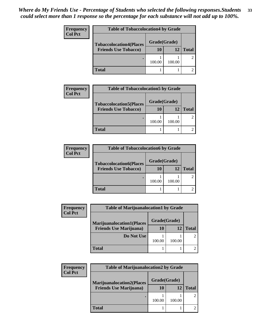| Frequency      | <b>Table of Tobaccolocation4 by Grade</b> |              |        |              |
|----------------|-------------------------------------------|--------------|--------|--------------|
| <b>Col Pct</b> | <b>Tobaccolocation4(Places</b>            | Grade(Grade) |        |              |
|                | <b>Friends Use Tobacco)</b>               | 10           | 12     | <b>Total</b> |
|                |                                           | 100.00       | 100.00 |              |
|                | <b>Total</b>                              |              |        |              |

| <b>Frequency</b> | <b>Table of Tobaccolocation5 by Grade</b> |              |        |              |
|------------------|-------------------------------------------|--------------|--------|--------------|
| <b>Col Pct</b>   | <b>Tobaccolocation5(Places</b>            | Grade(Grade) |        |              |
|                  | <b>Friends Use Tobacco)</b>               | 10           | 12     | <b>Total</b> |
|                  |                                           | 100.00       | 100.00 |              |
|                  | Total                                     |              |        |              |

| <b>Frequency</b> | <b>Table of Tobaccolocation6 by Grade</b> |              |        |              |
|------------------|-------------------------------------------|--------------|--------|--------------|
| Col Pct          | <b>Tobaccolocation6(Places</b>            | Grade(Grade) |        |              |
|                  | <b>Friends Use Tobacco)</b>               | 10           | 12     | <b>Total</b> |
|                  |                                           | 100.00       | 100.00 |              |
|                  | <b>Total</b>                              |              |        |              |

| <b>Frequency</b> | <b>Table of Marijuanalocation1 by Grade</b> |              |        |              |
|------------------|---------------------------------------------|--------------|--------|--------------|
| <b>Col Pct</b>   | <b>Marijuanalocation1(Places</b>            | Grade(Grade) |        |              |
|                  | <b>Friends Use Marijuana</b> )              | 10           | 12     | <b>Total</b> |
|                  | Do Not Use                                  | 100.00       | 100.00 |              |
|                  | Total                                       |              |        |              |

| Frequency      | <b>Table of Marijuanalocation2 by Grade</b> |              |        |              |
|----------------|---------------------------------------------|--------------|--------|--------------|
| <b>Col Pct</b> | <b>Marijuanalocation2(Places</b>            | Grade(Grade) |        |              |
|                | <b>Friends Use Marijuana</b> )              | 10           | 12     | <b>Total</b> |
|                |                                             | 100.00       | 100.00 |              |
|                | Total                                       |              |        |              |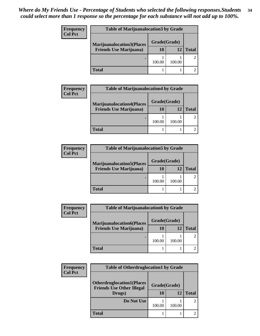| Frequency<br><b>Col Pct</b> | <b>Table of Marijuanalocation3 by Grade</b> |              |        |              |
|-----------------------------|---------------------------------------------|--------------|--------|--------------|
|                             | <b>Marijuanalocation3(Places</b>            | Grade(Grade) |        |              |
|                             | <b>Friends Use Marijuana</b> )              | 10           | 12     | <b>Total</b> |
|                             |                                             | 100.00       | 100.00 |              |
|                             | <b>Total</b>                                |              |        |              |

| <b>Frequency</b> | <b>Table of Marijuanalocation4 by Grade</b> |              |        |              |
|------------------|---------------------------------------------|--------------|--------|--------------|
| <b>Col Pct</b>   | <b>Marijuanalocation4(Places</b>            | Grade(Grade) |        |              |
|                  | <b>Friends Use Marijuana</b> )              | 10           | 12     | <b>Total</b> |
|                  |                                             | 100.00       | 100.00 |              |
|                  | <b>Total</b>                                |              |        |              |

| <b>Frequency</b> | <b>Table of Marijuanalocation5 by Grade</b> |              |        |              |
|------------------|---------------------------------------------|--------------|--------|--------------|
| <b>Col Pct</b>   | <b>Marijuanalocation5(Places</b>            | Grade(Grade) |        |              |
|                  | <b>Friends Use Marijuana</b> )              | 10           | 12     | <b>Total</b> |
|                  |                                             | 100.00       | 100.00 |              |
|                  | <b>Total</b>                                |              |        |              |

| <b>Frequency</b> | <b>Table of Marijuanalocation6 by Grade</b> |              |        |              |
|------------------|---------------------------------------------|--------------|--------|--------------|
| <b>Col Pct</b>   | <b>Marijuanalocation6(Places</b>            | Grade(Grade) |        |              |
|                  | <b>Friends Use Marijuana</b> )              | 10           | 12     | <b>Total</b> |
|                  |                                             | 100.00       | 100.00 |              |
|                  | <b>Total</b>                                |              |        |              |

| <b>Frequency</b> | <b>Table of Otherdruglocation1 by Grade</b>                                    |        |                    |                             |  |
|------------------|--------------------------------------------------------------------------------|--------|--------------------|-----------------------------|--|
| <b>Col Pct</b>   | <b>Otherdruglocation1(Places</b><br><b>Friends Use Other Illegal</b><br>Drugs) | 10     | Grade(Grade)<br>12 | <b>Total</b>                |  |
|                  |                                                                                |        |                    |                             |  |
|                  | Do Not Use                                                                     |        |                    | $\mathcal{D}_{\mathcal{L}}$ |  |
|                  |                                                                                | 100.00 | 100.00             |                             |  |
|                  | <b>Total</b>                                                                   |        |                    |                             |  |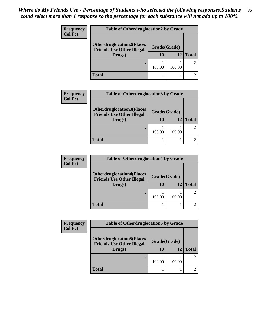| <b>Frequency</b><br><b>Col Pct</b> | <b>Table of Otherdruglocation2 by Grade</b>                          |              |        |              |
|------------------------------------|----------------------------------------------------------------------|--------------|--------|--------------|
|                                    | <b>Otherdruglocation2(Places</b><br><b>Friends Use Other Illegal</b> | Grade(Grade) |        |              |
|                                    | Drugs)                                                               | 10           | 12     | <b>Total</b> |
|                                    |                                                                      | 100.00       | 100.00 |              |
|                                    | Total                                                                |              |        |              |

| <b>Frequency</b> | <b>Table of Otherdruglocation 3 by Grade</b>                                   |                    |        |              |
|------------------|--------------------------------------------------------------------------------|--------------------|--------|--------------|
| <b>Col Pct</b>   | <b>Otherdruglocation3(Places</b><br><b>Friends Use Other Illegal</b><br>Drugs) | Grade(Grade)<br>10 | 12     | <b>Total</b> |
|                  |                                                                                | 100.00             | 100.00 |              |
|                  | Total                                                                          |                    |        |              |

| <b>Frequency</b> | <b>Table of Otherdruglocation4 by Grade</b>                          |              |        |              |
|------------------|----------------------------------------------------------------------|--------------|--------|--------------|
| <b>Col Pct</b>   | <b>Otherdruglocation4(Places</b><br><b>Friends Use Other Illegal</b> | Grade(Grade) |        |              |
|                  | Drugs)                                                               | 10           | 12     | <b>Total</b> |
|                  |                                                                      | 100.00       | 100.00 |              |
|                  | <b>Total</b>                                                         |              |        |              |

| <b>Frequency</b> | <b>Table of Otherdruglocation5 by Grade</b>                          |              |        |              |
|------------------|----------------------------------------------------------------------|--------------|--------|--------------|
| <b>Col Pct</b>   | <b>Otherdruglocation5(Places</b><br><b>Friends Use Other Illegal</b> | Grade(Grade) |        |              |
|                  | Drugs)                                                               | 10           | 12     | <b>Total</b> |
|                  |                                                                      | 100.00       | 100.00 |              |
|                  | <b>Total</b>                                                         |              |        |              |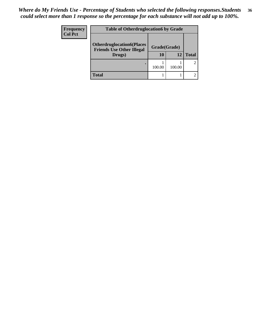| Frequency<br><b>Col Pct</b> | <b>Table of Otherdruglocation6 by Grade</b>                                          |           |        |                |
|-----------------------------|--------------------------------------------------------------------------------------|-----------|--------|----------------|
|                             | <b>Otherdruglocation6(Places</b><br>Grade(Grade)<br><b>Friends Use Other Illegal</b> |           |        |                |
|                             | Drugs)                                                                               | <b>10</b> | 12     | <b>Total</b>   |
|                             |                                                                                      | 100.00    | 100.00 | $\overline{2}$ |
|                             | Total                                                                                |           |        |                |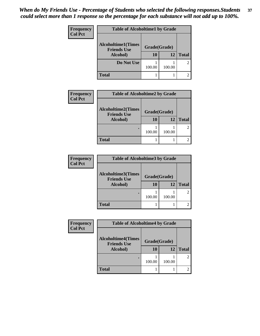| Frequency      | <b>Table of Alcoholtime1 by Grade</b> |           |        |              |
|----------------|---------------------------------------|-----------|--------|--------------|
| <b>Col Pct</b> | <b>Alcoholtime1(Times</b>             |           |        |              |
|                | Grade(Grade)<br><b>Friends Use</b>    |           |        |              |
|                | Alcohol)                              | <b>10</b> | 12     | <b>Total</b> |
|                | Do Not Use                            |           |        |              |
|                |                                       | 100.00    | 100.00 |              |
|                | <b>Total</b>                          |           |        |              |

| <b>Frequency</b> | <b>Table of Alcoholtime2 by Grade</b>           |              |        |              |
|------------------|-------------------------------------------------|--------------|--------|--------------|
| <b>Col Pct</b>   | <b>Alcoholtime2(Times</b><br><b>Friends Use</b> | Grade(Grade) |        |              |
|                  | Alcohol)                                        | 10           | 12     | <b>Total</b> |
|                  |                                                 | 100.00       | 100.00 |              |
|                  | <b>Total</b>                                    |              |        |              |

| <b>Frequency</b> | <b>Table of Alcoholtime3 by Grade</b>           |              |        |              |
|------------------|-------------------------------------------------|--------------|--------|--------------|
| <b>Col Pct</b>   | <b>Alcoholtime3(Times</b><br><b>Friends Use</b> | Grade(Grade) |        |              |
|                  | Alcohol)                                        | 10           | 12     | <b>Total</b> |
|                  |                                                 | 100.00       | 100.00 |              |
|                  | <b>Total</b>                                    |              |        |              |

| Frequency      | <b>Table of Alcoholtime4 by Grade</b> |              |        |                |  |
|----------------|---------------------------------------|--------------|--------|----------------|--|
| <b>Col Pct</b> | <b>Alcoholtime4(Times</b>             |              |        |                |  |
|                | <b>Friends Use</b>                    | Grade(Grade) |        |                |  |
|                | Alcohol)                              | <b>10</b>    | 12     | <b>Total</b>   |  |
|                |                                       |              |        | $\overline{2}$ |  |
|                |                                       | 100.00       | 100.00 |                |  |
|                | <b>Total</b>                          |              |        | 2              |  |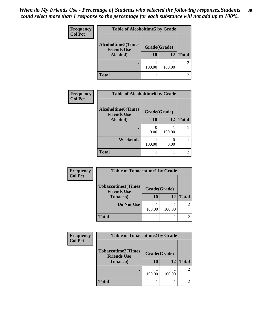| Frequency      | <b>Table of Alcoholtime5 by Grade</b>           |              |        |              |
|----------------|-------------------------------------------------|--------------|--------|--------------|
| <b>Col Pct</b> | <b>Alcoholtime5(Times</b><br><b>Friends Use</b> | Grade(Grade) |        |              |
|                | Alcohol)                                        | <b>10</b>    | 12     | <b>Total</b> |
|                |                                                 | 100.00       | 100.00 |              |
|                | <b>Total</b>                                    |              |        |              |

| Frequency      | <b>Table of Alcoholtime6 by Grade</b>           |              |        |              |
|----------------|-------------------------------------------------|--------------|--------|--------------|
| <b>Col Pct</b> | <b>Alcoholtime6(Times</b><br><b>Friends Use</b> | Grade(Grade) |        |              |
|                | Alcohol)                                        | 10           | 12     | <b>Total</b> |
|                | ٠                                               | 0.00         | 100.00 |              |
|                | Weekends                                        | 100.00       | 0.00   |              |
|                | <b>Total</b>                                    |              |        |              |

| <b>Frequency</b> | <b>Table of Tobaccotime1 by Grade</b>           |              |        |              |  |
|------------------|-------------------------------------------------|--------------|--------|--------------|--|
| <b>Col Pct</b>   |                                                 |              |        |              |  |
|                  | <b>Tobaccotime1(Times</b><br><b>Friends Use</b> | Grade(Grade) |        |              |  |
|                  | <b>Tobacco</b> )                                | 10           | 12     | <b>Total</b> |  |
|                  | Do Not Use                                      |              |        |              |  |
|                  |                                                 | 100.00       | 100.00 |              |  |
|                  | <b>Total</b>                                    |              |        |              |  |

| <b>Frequency</b> | <b>Table of Tobaccotime2 by Grade</b>           |              |        |                |
|------------------|-------------------------------------------------|--------------|--------|----------------|
| <b>Col Pct</b>   | <b>Tobaccotime2(Times</b><br><b>Friends Use</b> | Grade(Grade) |        |                |
|                  | <b>Tobacco</b> )                                | 10           | 12     | <b>Total</b>   |
|                  |                                                 | 100.00       | 100.00 | $\mathfrak{D}$ |
|                  | <b>Total</b>                                    |              |        |                |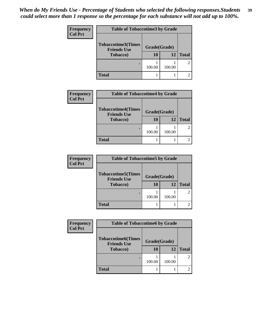| <b>Frequency</b> | <b>Table of Tobaccotime3 by Grade</b>           |              |        |              |
|------------------|-------------------------------------------------|--------------|--------|--------------|
| <b>Col Pct</b>   | <b>Tobaccotime3(Times</b><br><b>Friends Use</b> | Grade(Grade) |        |              |
|                  | <b>Tobacco</b> )                                | 10           | 12     | <b>Total</b> |
|                  |                                                 | 100.00       | 100.00 | 2            |
|                  | <b>Total</b>                                    |              |        |              |

| <b>Frequency</b> | <b>Table of Tobaccotime4 by Grade</b>                               |                    |        |               |
|------------------|---------------------------------------------------------------------|--------------------|--------|---------------|
| <b>Col Pct</b>   | <b>Tobaccotime4(Times</b><br><b>Friends Use</b><br><b>Tobacco</b> ) | Grade(Grade)<br>10 | 12     | <b>Total</b>  |
|                  |                                                                     | 100.00             | 100.00 | $\mathcal{L}$ |
|                  | <b>Total</b>                                                        |                    |        |               |

| <b>Frequency</b> | <b>Table of Tobaccotime5 by Grade</b>           |              |        |               |
|------------------|-------------------------------------------------|--------------|--------|---------------|
| <b>Col Pct</b>   | <b>Tobaccotime5(Times</b><br><b>Friends Use</b> | Grade(Grade) |        |               |
|                  | <b>Tobacco</b> )                                | 10           | 12     | <b>Total</b>  |
|                  |                                                 | 100.00       | 100.00 | $\mathcal{L}$ |
|                  | <b>Total</b>                                    |              |        |               |

| Frequency      | <b>Table of Tobaccotime6 by Grade</b>           |              |        |                |
|----------------|-------------------------------------------------|--------------|--------|----------------|
| <b>Col Pct</b> | <b>Tobaccotime6(Times</b><br><b>Friends Use</b> | Grade(Grade) |        |                |
|                | <b>Tobacco</b> )                                | 10           | 12     | <b>Total</b>   |
|                |                                                 | 100.00       | 100.00 | $\overline{2}$ |
|                | <b>Total</b>                                    |              |        |                |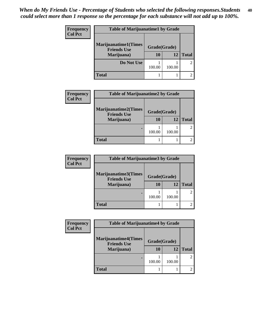| <b>Frequency</b><br><b>Col Pct</b> | <b>Table of Marijuanatime1 by Grade</b>           |              |           |              |  |
|------------------------------------|---------------------------------------------------|--------------|-----------|--------------|--|
|                                    | <b>Marijuanatime1(Times</b><br><b>Friends Use</b> | Grade(Grade) |           |              |  |
|                                    | Marijuana)                                        | 10           | <b>12</b> | <b>Total</b> |  |
|                                    | Do Not Use                                        | 100.00       | 100.00    |              |  |
|                                    | <b>Total</b>                                      |              |           |              |  |

| <b>Frequency</b><br><b>Col Pct</b> | <b>Table of Marijuanatime2 by Grade</b>           |              |              |               |
|------------------------------------|---------------------------------------------------|--------------|--------------|---------------|
|                                    | <b>Marijuanatime2(Times</b><br><b>Friends Use</b> | Grade(Grade) |              |               |
| Marijuana)                         | 10                                                | 12           | <b>Total</b> |               |
|                                    | ٠                                                 | 100.00       | 100.00       | $\mathcal{L}$ |
|                                    | Total                                             |              |              | 2.            |

| <b>Frequency</b> | <b>Table of Marijuanatime3 by Grade</b>    |              |        |               |
|------------------|--------------------------------------------|--------------|--------|---------------|
| <b>Col Pct</b>   | Marijuanatime3(Times<br><b>Friends Use</b> | Grade(Grade) |        |               |
|                  | Marijuana)                                 | <b>10</b>    | 12     | <b>Total</b>  |
|                  |                                            | 100.00       | 100.00 | $\mathcal{L}$ |
|                  | <b>Total</b>                               |              |        |               |

| Frequency | <b>Table of Marijuanatime4 by Grade</b>           |              |        |              |
|-----------|---------------------------------------------------|--------------|--------|--------------|
| Col Pct   | <b>Marijuanatime4(Times</b><br><b>Friends Use</b> | Grade(Grade) |        |              |
|           | Marijuana)                                        | 10           | 12     | <b>Total</b> |
|           |                                                   | 100.00       | 100.00 |              |
|           | <b>Total</b>                                      |              |        |              |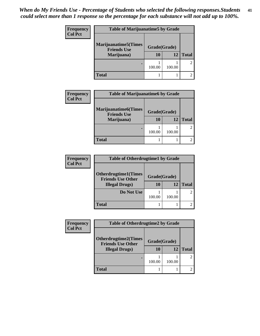| Frequency<br><b>Col Pct</b> | <b>Table of Marijuanatime5 by Grade</b>            |              |        |              |
|-----------------------------|----------------------------------------------------|--------------|--------|--------------|
|                             | <b>Marijuanatime5</b> (Times<br><b>Friends Use</b> | Grade(Grade) |        |              |
|                             | Marijuana)                                         | 10           | 12     | <b>Total</b> |
|                             |                                                    | 100.00       | 100.00 |              |
|                             | <b>Total</b>                                       |              |        |              |

| <b>Frequency</b> | <b>Table of Marijuanatime6 by Grade</b>           |              |              |                             |
|------------------|---------------------------------------------------|--------------|--------------|-----------------------------|
| <b>Col Pct</b>   | <b>Marijuanatime6(Times</b><br><b>Friends Use</b> | Grade(Grade) |              |                             |
| Marijuana)       | 10                                                | 12           | <b>Total</b> |                             |
|                  | ٠                                                 | 100.00       | 100.00       | $\mathfrak{D}$              |
|                  | <b>Total</b>                                      |              |              | $\mathcal{D}_{\mathcal{L}}$ |

| <b>Frequency</b> | <b>Table of Otherdrugtime1 by Grade</b>            |              |        |               |
|------------------|----------------------------------------------------|--------------|--------|---------------|
| <b>Col Pct</b>   | <b>Otherdrugtime1(Times</b>                        | Grade(Grade) |        |               |
|                  | <b>Friends Use Other</b><br><b>Illegal Drugs</b> ) | 10           | 12     | <b>Total</b>  |
|                  | Do Not Use                                         | 100.00       | 100.00 | $\mathcal{L}$ |
|                  | Total                                              |              |        |               |

| Frequency      | <b>Table of Otherdrugtime2 by Grade</b>                 |              |        |              |
|----------------|---------------------------------------------------------|--------------|--------|--------------|
| <b>Col Pct</b> | <b>Otherdrugtime2(Times</b><br><b>Friends Use Other</b> | Grade(Grade) |        |              |
|                | <b>Illegal Drugs</b> )                                  | 10           | 12     | <b>Total</b> |
|                |                                                         | 100.00       | 100.00 |              |
|                | <b>Total</b>                                            |              |        |              |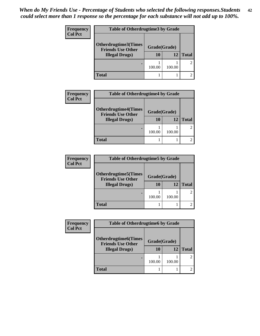| <b>Frequency</b>       | <b>Table of Otherdrugtime3 by Grade</b>          |              |              |  |
|------------------------|--------------------------------------------------|--------------|--------------|--|
| <b>Col Pct</b>         | Otherdrugtime3(Times<br><b>Friends Use Other</b> | Grade(Grade) |              |  |
| <b>Illegal Drugs</b> ) | 10                                               | 12           | <b>Total</b> |  |
|                        |                                                  | 100.00       | 100.00       |  |
|                        | <b>Total</b>                                     |              |              |  |

| <b>Frequency</b><br><b>Col Pct</b> | <b>Table of Otherdrugtime4 by Grade</b>                 |              |              |               |
|------------------------------------|---------------------------------------------------------|--------------|--------------|---------------|
|                                    | <b>Otherdrugtime4(Times</b><br><b>Friends Use Other</b> | Grade(Grade) |              |               |
| <b>Illegal Drugs</b> )             | 10                                                      | 12           | <b>Total</b> |               |
|                                    |                                                         | 100.00       | 100.00       | $\mathcal{L}$ |
|                                    | Total                                                   |              |              | 2.            |

| <b>Frequency</b> | <b>Table of Otherdrugtime5 by Grade</b>                  |              |        |               |
|------------------|----------------------------------------------------------|--------------|--------|---------------|
| <b>Col Pct</b>   | <b>Otherdrugtime5</b> (Times<br><b>Friends Use Other</b> | Grade(Grade) |        |               |
|                  | <b>Illegal Drugs</b> )                                   | 10           | 12     | <b>Total</b>  |
|                  | ٠                                                        | 100.00       | 100.00 | $\mathcal{L}$ |
|                  | Total                                                    |              |        |               |

| <b>Frequency</b> | <b>Table of Otherdrugtime6 by Grade</b>                  |              |        |              |
|------------------|----------------------------------------------------------|--------------|--------|--------------|
| <b>Col Pct</b>   | <b>Otherdrugtime6</b> (Times<br><b>Friends Use Other</b> | Grade(Grade) |        |              |
|                  | <b>Illegal Drugs</b> )                                   | 10           | 12     | <b>Total</b> |
|                  |                                                          | 100.00       | 100.00 |              |
|                  | <b>Total</b>                                             |              |        |              |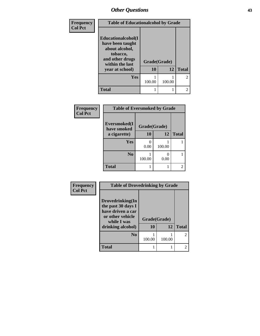| Frequency      | <b>Table of Educationalcohol by Grade</b>                                                                  |              |        |                |
|----------------|------------------------------------------------------------------------------------------------------------|--------------|--------|----------------|
| <b>Col Pct</b> | Educationalcohol(I<br>have been taught<br>about alcohol,<br>tobacco,<br>and other drugs<br>within the last | Grade(Grade) |        |                |
|                | year at school)                                                                                            | 10           | 12     | <b>Total</b>   |
|                | Yes                                                                                                        | 100.00       | 100.00 | $\mathfrak{D}$ |
|                | <b>Total</b>                                                                                               |              |        | $\overline{2}$ |

| Frequency      | <b>Table of Eversmoked by Grade</b> |              |        |              |
|----------------|-------------------------------------|--------------|--------|--------------|
| <b>Col Pct</b> | Eversmoked(I)<br>have smoked        | Grade(Grade) |        |              |
|                | a cigarette)                        | <b>10</b>    | 12     | <b>Total</b> |
|                | <b>Yes</b>                          | 0.00         | 100.00 |              |
|                | N <sub>0</sub>                      | 100.00       | 0.00   |              |
|                | <b>Total</b>                        |              |        |              |

| <b>Frequency</b> | <b>Table of Drovedrinking by Grade</b>                                                                              |                    |        |                             |
|------------------|---------------------------------------------------------------------------------------------------------------------|--------------------|--------|-----------------------------|
| <b>Col Pct</b>   | Drovedrinking(In<br>the past 30 days I<br>have driven a car<br>or other vehicle<br>while I was<br>drinking alcohol) | Grade(Grade)<br>10 | 12     | <b>Total</b>                |
|                  | N <sub>0</sub>                                                                                                      | 100.00             | 100.00 | $\mathfrak{D}$              |
|                  | <b>Total</b>                                                                                                        |                    |        | $\mathcal{D}_{\mathcal{A}}$ |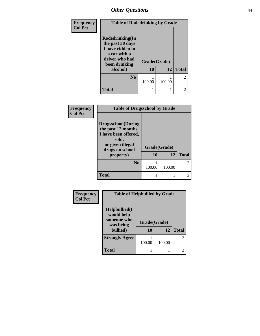| Frequency      | <b>Table of Rodedrinking by Grade</b>                                                                      |              |        |                |
|----------------|------------------------------------------------------------------------------------------------------------|--------------|--------|----------------|
| <b>Col Pct</b> | Rodedrinking(In<br>the past 30 days<br>I have ridden in<br>a car with a<br>driver who had<br>been drinking | Grade(Grade) |        |                |
|                | alcohol)                                                                                                   | 10           | 12     | <b>Total</b>   |
|                | $\bf No$                                                                                                   | 100.00       | 100.00 | $\overline{2}$ |
|                | <b>Total</b>                                                                                               |              |        | $\overline{2}$ |

| Frequency      | <b>Table of Drugsschool by Grade</b>                                                                                      |              |        |                |
|----------------|---------------------------------------------------------------------------------------------------------------------------|--------------|--------|----------------|
| <b>Col Pct</b> | <b>Drugsschool</b> (During<br>the past 12 months,<br>I have been offered,<br>sold,<br>or given illegal<br>drugs on school | Grade(Grade) |        |                |
|                | property)                                                                                                                 | 10           | 12     | <b>Total</b>   |
|                | N <sub>0</sub>                                                                                                            | 100.00       | 100.00 | $\mathfrak{D}$ |
|                | <b>Total</b>                                                                                                              |              |        | $\mathfrak{D}$ |

| Frequency      | <b>Table of Helpbullied by Grade</b>                                      |                    |        |                |
|----------------|---------------------------------------------------------------------------|--------------------|--------|----------------|
| <b>Col Pct</b> | $Helpb$ ullied $(I$<br>would help<br>someone who<br>was being<br>bullied) | Grade(Grade)<br>10 | 12     | <b>Total</b>   |
|                | <b>Strongly Agree</b>                                                     | 100.00             | 100.00 | $\mathfrak{2}$ |
|                | <b>Total</b>                                                              |                    |        | $\overline{c}$ |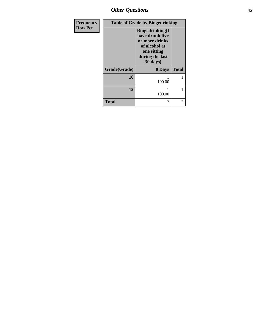| <b>Frequency</b> |              | <b>Table of Grade by Bingedrinking</b>                                                                                               |              |
|------------------|--------------|--------------------------------------------------------------------------------------------------------------------------------------|--------------|
| <b>Row Pct</b>   |              | <b>Bingedrinking</b> (I<br>have drunk five<br>or more drinks<br>of alcohol at<br>one sitting<br>during the last<br>$30 \text{ days}$ |              |
|                  | Grade(Grade) | 0 Days                                                                                                                               | <b>Total</b> |
|                  | 10           | 100.00                                                                                                                               | 1            |
|                  | 12           | 100.00                                                                                                                               | 1            |
|                  | <b>Total</b> | 2                                                                                                                                    | 2            |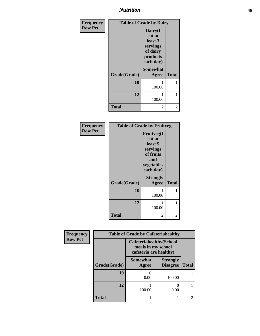## *Nutrition* **46**

| Frequency      | <b>Table of Grade by Dairy</b> |                                                                               |              |
|----------------|--------------------------------|-------------------------------------------------------------------------------|--------------|
| <b>Row Pct</b> |                                | Dairy(I<br>eat at<br>least 3<br>servings<br>of dairy<br>products<br>each day) |              |
|                | Grade(Grade)                   | <b>Somewhat</b><br><b>Agree</b>                                               | <b>Total</b> |
|                | 10                             | 100.00                                                                        | 1            |
|                | 12                             | 100.00                                                                        |              |
|                | <b>Total</b>                   | 2                                                                             | 2            |

| Frequency      | <b>Table of Grade by Fruitveg</b> |                                                                                                   |              |  |
|----------------|-----------------------------------|---------------------------------------------------------------------------------------------------|--------------|--|
| <b>Row Pct</b> |                                   | <b>Fruitveg(I</b><br>eat at<br>least 5<br>servings<br>of fruits<br>and<br>vegetables<br>each day) |              |  |
|                | Grade(Grade)                      | <b>Strongly</b><br>Agree                                                                          | <b>Total</b> |  |
|                | 10                                | 100.00                                                                                            | 1            |  |
|                | 12                                | 100.00                                                                                            | 1            |  |
|                | <b>Total</b>                      | 2                                                                                                 | 2            |  |

| Frequency      |              | <b>Table of Grade by Cafeteriahealthy</b> |                                                       |              |
|----------------|--------------|-------------------------------------------|-------------------------------------------------------|--------------|
| <b>Row Pct</b> |              | cafeteria are healthy)                    | <b>Cafeteriahealthy</b> (School<br>meals in my school |              |
|                | Grade(Grade) | <b>Somewhat</b><br>Agree                  | <b>Strongly</b><br><b>Disagree</b>                    | <b>Total</b> |
|                | 10           | 0<br>0.00                                 | 100.00                                                |              |
|                | 12           | 100.00                                    | 0.00                                                  |              |
|                | <b>Total</b> |                                           |                                                       |              |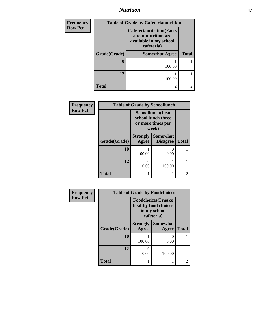# *Nutrition* **47**

| <b>Frequency</b> | <b>Table of Grade by Cafeterianutrition</b> |                                                                                                 |                |  |
|------------------|---------------------------------------------|-------------------------------------------------------------------------------------------------|----------------|--|
| <b>Row Pct</b>   |                                             | <b>Cafeterianutrition</b> (Facts<br>about nutrition are<br>available in my school<br>cafeteria) |                |  |
|                  | Grade(Grade)                                | <b>Somewhat Agree</b>                                                                           | <b>Total</b>   |  |
|                  | 10                                          | 100.00                                                                                          |                |  |
|                  | 12                                          | 100.00                                                                                          |                |  |
|                  | <b>Total</b>                                | 2                                                                                               | $\mathfrak{D}$ |  |

| Frequency      |              |                                                                               | <b>Table of Grade by Schoollunch</b> |                             |
|----------------|--------------|-------------------------------------------------------------------------------|--------------------------------------|-----------------------------|
| <b>Row Pct</b> |              | <b>Schoollunch</b> (I eat<br>school lunch three<br>or more times per<br>week) |                                      |                             |
|                | Grade(Grade) | <b>Strongly</b><br>Agree                                                      | <b>Somewhat</b><br><b>Disagree</b>   | <b>Total</b>                |
|                | 10           | 100.00                                                                        | $\theta$<br>0.00                     |                             |
|                | 12           | 0<br>0.00                                                                     | 100.00                               |                             |
|                | <b>Total</b> | 1                                                                             |                                      | $\mathcal{D}_{\mathcal{A}}$ |

| Frequency      | <b>Table of Grade by Foodchoices</b> |                                                                                  |                          |              |
|----------------|--------------------------------------|----------------------------------------------------------------------------------|--------------------------|--------------|
| <b>Row Pct</b> |                                      | <b>Foodchoices</b> (I make<br>healthy food choices<br>in my school<br>cafeteria) |                          |              |
|                | Grade(Grade)                         | <b>Strongly</b><br>Agree                                                         | <b>Somewhat</b><br>Agree | <b>Total</b> |
|                | 10                                   | 100.00                                                                           | 0.00                     |              |
|                | 12                                   | 0<br>0.00                                                                        | 100.00                   |              |
|                | <b>Total</b>                         |                                                                                  |                          |              |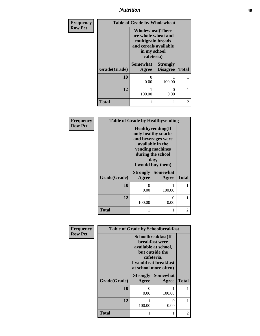*Nutrition* **48**

| <b>Frequency</b> | <b>Table of Grade by Wholewheat</b> |                                                                                                                             |                                    |                |
|------------------|-------------------------------------|-----------------------------------------------------------------------------------------------------------------------------|------------------------------------|----------------|
| <b>Row Pct</b>   |                                     | <b>Wholewheat</b> (There<br>are whole wheat and<br>multigrain breads<br>and cereals available<br>in my school<br>cafeteria) |                                    |                |
|                  | Grade(Grade)                        | <b>Somewhat</b><br>Agree                                                                                                    | <b>Strongly</b><br><b>Disagree</b> | <b>Total</b>   |
|                  | 10                                  | 0<br>0.00                                                                                                                   | 100.00                             |                |
|                  | 12                                  | 100.00                                                                                                                      | 0<br>0.00                          |                |
|                  | <b>Total</b>                        |                                                                                                                             |                                    | $\overline{c}$ |

| Frequency      | <b>Table of Grade by Healthyvending</b> |                                                                                                                                                                  |                          |              |
|----------------|-----------------------------------------|------------------------------------------------------------------------------------------------------------------------------------------------------------------|--------------------------|--------------|
| <b>Row Pct</b> |                                         | <b>Healthyvending</b> (If<br>only healthy snacks<br>and beverages were<br>available in the<br>vending machines<br>during the school<br>day,<br>I would buy them) |                          |              |
|                | Grade(Grade)                            | <b>Strongly</b><br>Agree                                                                                                                                         | <b>Somewhat</b><br>Agree | <b>Total</b> |
|                | 10                                      | $\mathbf{\Omega}$<br>0.00                                                                                                                                        | 100.00                   |              |
|                | 12                                      | 100.00                                                                                                                                                           | 0<br>0.00                |              |
|                | <b>Total</b>                            |                                                                                                                                                                  |                          | 2            |

| Frequency      |              |                                                                                                                                                        | <b>Table of Grade by Schoolbreakfast</b> |              |
|----------------|--------------|--------------------------------------------------------------------------------------------------------------------------------------------------------|------------------------------------------|--------------|
| <b>Row Pct</b> |              | Schoolbreakfast(If<br><b>breakfast</b> were<br>available at school,<br>but outside the<br>cafeteria,<br>I would eat breakfast<br>at school more often) |                                          |              |
|                | Grade(Grade) | <b>Strongly</b><br><b>Agree</b>                                                                                                                        | <b>Somewhat</b><br>Agree                 | <b>Total</b> |
|                | 10           | ∩<br>0.00                                                                                                                                              | 100.00                                   |              |
|                | 12           | 100.00                                                                                                                                                 | $\mathbf{\Omega}$<br>0.00                |              |
|                | <b>Total</b> |                                                                                                                                                        |                                          |              |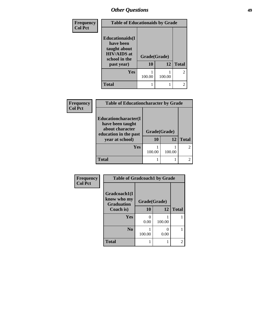| Frequency      | <b>Table of Educationaids by Grade</b>                                                                    |                    |        |                |
|----------------|-----------------------------------------------------------------------------------------------------------|--------------------|--------|----------------|
| <b>Col Pct</b> | <b>Educationaids</b> (I<br>have been<br>taught about<br><b>HIV/AIDS</b> at<br>school in the<br>past year) | Grade(Grade)<br>10 | 12     | <b>Total</b>   |
|                | <b>Yes</b>                                                                                                | 100.00             | 100.00 | $\mathfrak{D}$ |
|                | <b>Total</b>                                                                                              |                    |        | $\mathfrak{D}$ |

| <b>Frequency</b> |
|------------------|
| <b>Col Pct</b>   |

| <b>Table of Educationcharacter by Grade</b>                                          |                    |        |              |  |
|--------------------------------------------------------------------------------------|--------------------|--------|--------------|--|
| Educationcharacter(I<br>have been taught<br>about character<br>education in the past | Grade(Grade)<br>10 | 12     | <b>Total</b> |  |
| year at school)                                                                      |                    |        |              |  |
| Yes                                                                                  |                    |        |              |  |
|                                                                                      | 100.00             | 100.00 |              |  |
| <b>Total</b>                                                                         |                    |        |              |  |

| <b>Frequency</b> | <b>Table of Gradcoach1 by Grade</b>              |              |        |              |
|------------------|--------------------------------------------------|--------------|--------|--------------|
| <b>Col Pct</b>   | Gradcoach1(I<br>know who my<br><b>Graduation</b> | Grade(Grade) |        |              |
|                  | Coach is)                                        | 10           | 12     | <b>Total</b> |
|                  | Yes                                              | 0<br>0.00    | 100.00 |              |
|                  | N <sub>0</sub>                                   | 100.00       | 0.00   |              |
|                  | <b>Total</b>                                     |              |        | 2            |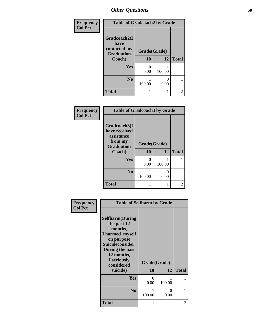| Frequency      | <b>Table of Gradcoach2 by Grade</b> |              |           |                |
|----------------|-------------------------------------|--------------|-----------|----------------|
| <b>Col Pct</b> |                                     |              |           |                |
|                | Gradcoach2(I<br>have                |              |           |                |
|                | contacted my<br><b>Graduation</b>   | Grade(Grade) |           |                |
|                | Coach)                              | 10           | 12        | <b>Total</b>   |
|                | Yes                                 | 0<br>0.00    | 100.00    |                |
|                | N <sub>0</sub>                      | 100.00       | 0<br>0.00 |                |
|                | <b>Total</b>                        |              |           | $\mathfrak{D}$ |

| Frequency      | <b>Table of Gradcoach3 by Grade</b>                                                   |                    |           |              |
|----------------|---------------------------------------------------------------------------------------|--------------------|-----------|--------------|
| <b>Col Pct</b> | Gradcoach3(I<br>have received<br>assistance<br>from my<br><b>Graduation</b><br>Coach) | Grade(Grade)<br>10 | 12        | <b>Total</b> |
|                | Yes                                                                                   | 0<br>0.00          | 100.00    |              |
|                | N <sub>0</sub>                                                                        | 100.00             | 0<br>0.00 |              |
|                | <b>Total</b>                                                                          |                    |           | 2            |

| <b>Frequency</b> | <b>Table of Selfharm by Grade</b>                                                                                                                            |              |           |              |
|------------------|--------------------------------------------------------------------------------------------------------------------------------------------------------------|--------------|-----------|--------------|
| <b>Col Pct</b>   | <b>Selfharm</b> (During<br>the past 12<br>months,<br>I harmed myself<br>on purpose<br><b>Suicideconsider</b><br>During the past<br>12 months,<br>I seriously | Grade(Grade) |           |              |
|                  | considered<br>suicide)                                                                                                                                       | 10           | 12        | <b>Total</b> |
|                  |                                                                                                                                                              |              |           |              |
|                  | Yes                                                                                                                                                          | 0<br>0.00    | 100.00    | 1            |
|                  | N <sub>0</sub>                                                                                                                                               | 1<br>100.00  | 0<br>0.00 | 1            |
|                  | <b>Total</b>                                                                                                                                                 | 1            | 1         | 2            |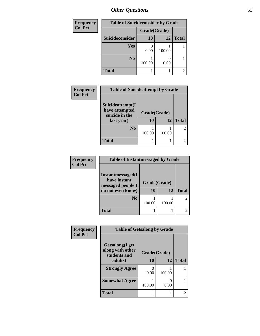| <b>Frequency</b> | <b>Table of Suicideconsider by Grade</b> |              |        |              |
|------------------|------------------------------------------|--------------|--------|--------------|
| <b>Col Pct</b>   |                                          | Grade(Grade) |        |              |
|                  | Suicideconsider                          | <b>10</b>    | 12     | <b>Total</b> |
|                  | <b>Yes</b>                               | 0.00         | 100.00 |              |
|                  | N <sub>0</sub>                           | 100.00       | 0.00   |              |
|                  | <b>Total</b>                             |              |        | 2            |

| Frequency<br><b>Col Pct</b> | <b>Table of Suicideattempt by Grade</b>                            |                                 |        |              |
|-----------------------------|--------------------------------------------------------------------|---------------------------------|--------|--------------|
|                             | Suicideattempt(I<br>have attempted<br>suicide in the<br>last year) | Grade(Grade)<br>10<br><b>12</b> |        | <b>Total</b> |
|                             | N <sub>0</sub>                                                     | 100.00                          | 100.00 |              |
|                             | <b>Total</b>                                                       |                                 |        |              |

| Frequency<br><b>Col Pct</b> | <b>Table of Instantmessaged by Grade</b>                                    |                          |        |                |
|-----------------------------|-----------------------------------------------------------------------------|--------------------------|--------|----------------|
|                             | Instantmessaged(I<br>have instant<br>messaged people I<br>do not even know) | Grade(Grade)<br>12<br>10 |        | <b>Total</b>   |
|                             | N <sub>0</sub>                                                              | 100.00                   | 100.00 | $\mathfrak{D}$ |
|                             | <b>Total</b>                                                                |                          |        | 2              |

| Frequency<br><b>Col Pct</b> | <b>Table of Getsalong by Grade</b>                  |              |        |              |
|-----------------------------|-----------------------------------------------------|--------------|--------|--------------|
|                             | Getsalong(I get<br>along with other<br>students and | Grade(Grade) |        |              |
|                             | adults)                                             | 10           | 12     | <b>Total</b> |
|                             | <b>Strongly Agree</b>                               | 0.00         | 100.00 |              |
|                             | <b>Somewhat Agree</b>                               | 100.00       | 0.00   |              |
|                             | <b>Total</b>                                        |              |        |              |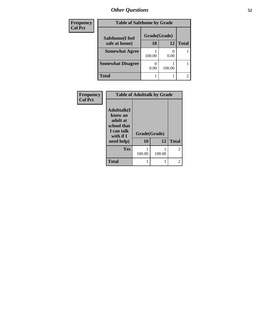| Frequency      | <b>Table of Safehome by Grade</b> |              |        |                |
|----------------|-----------------------------------|--------------|--------|----------------|
| <b>Col Pct</b> | Safehome(I feel                   | Grade(Grade) |        |                |
|                | safe at home)                     | 10           | 12     | <b>Total</b>   |
|                | <b>Somewhat Agree</b>             | 100.00       | 0.00   |                |
|                | <b>Somewhat Disagree</b>          | 0.00         | 100.00 |                |
|                | <b>Total</b>                      |              |        | $\overline{c}$ |

| Frequency<br><b>Col Pct</b> | <b>Table of Adulttalk by Grade</b>                                                   |              |        |                |
|-----------------------------|--------------------------------------------------------------------------------------|--------------|--------|----------------|
|                             | <b>Adulttalk</b> (I<br>know an<br>adult at<br>school that<br>I can talk<br>with if I | Grade(Grade) |        |                |
|                             | need help)                                                                           | 10           | 12     | <b>Total</b>   |
|                             | Yes                                                                                  | 100.00       | 100.00 | $\overline{2}$ |
|                             | <b>Total</b>                                                                         |              |        | 2              |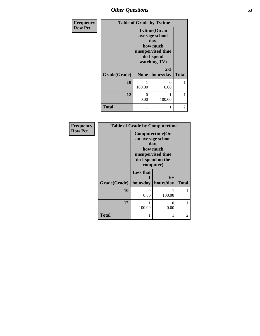| Frequency      |              |                                                                                                              | <b>Table of Grade by Tytime</b> |                |
|----------------|--------------|--------------------------------------------------------------------------------------------------------------|---------------------------------|----------------|
| <b>Row Pct</b> |              | <b>Tvtime(On an</b><br>average school<br>day,<br>how much<br>unsupervised time<br>do I spend<br>watching TV) |                                 |                |
|                | Grade(Grade) | None                                                                                                         | $2 - 3$<br>hours/day            | <b>Total</b>   |
|                | 10           | 100.00                                                                                                       | 0<br>0.00                       |                |
|                | 12           | 0<br>0.00                                                                                                    | 100.00                          |                |
|                | <b>Total</b> |                                                                                                              |                                 | $\overline{c}$ |

| Frequency      |              |                                                                                                                 | <b>Table of Grade by Computertime</b> |              |
|----------------|--------------|-----------------------------------------------------------------------------------------------------------------|---------------------------------------|--------------|
| <b>Row Pct</b> |              | Computertime(On<br>an average school<br>day,<br>how much<br>unsupervised time<br>do I spend on the<br>computer) |                                       |              |
|                | Grade(Grade) | <b>Less that</b><br>hour/day                                                                                    | $6+$<br>hours/day                     | <b>Total</b> |
|                | 10           | 0.00                                                                                                            | 100.00                                |              |
|                | 12           | 100.00                                                                                                          | 0<br>0.00                             |              |
|                | <b>Total</b> |                                                                                                                 |                                       | 2            |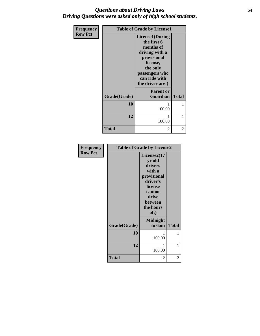## *Questions about Driving Laws* **54** *Driving Questions were asked only of high school students.*

| <b>Frequency</b> |              | <b>Table of Grade by License1</b>                                                                                                                           |              |
|------------------|--------------|-------------------------------------------------------------------------------------------------------------------------------------------------------------|--------------|
| <b>Row Pct</b>   |              | License1(During<br>the first 6<br>months of<br>driving with a<br>provisional<br>license,<br>the only<br>passengers who<br>can ride with<br>the driver are:) |              |
|                  | Grade(Grade) | <b>Parent or</b><br><b>Guardian</b>                                                                                                                         | <b>Total</b> |
|                  | 10           | 100.00                                                                                                                                                      | 1            |
|                  | 12           | 100.00                                                                                                                                                      | 1            |
|                  | <b>Total</b> | $\overline{2}$                                                                                                                                              | 2            |

| <b>Frequency</b> | <b>Table of Grade by License2</b> |                                                                                                                                      |              |
|------------------|-----------------------------------|--------------------------------------------------------------------------------------------------------------------------------------|--------------|
| <b>Row Pct</b>   |                                   | License2(17)<br>yr old<br>drivers<br>with a<br>provisional<br>driver's<br>license<br>cannot<br>drive<br>between<br>the hours<br>of:) |              |
|                  | Grade(Grade)                      | <b>Midnight</b><br>to 6am                                                                                                            | <b>Total</b> |
|                  | 10                                | 1<br>100.00                                                                                                                          | 1            |
|                  | 12                                | 1<br>100.00                                                                                                                          | 1            |
|                  | <b>Total</b>                      | 2                                                                                                                                    | 2            |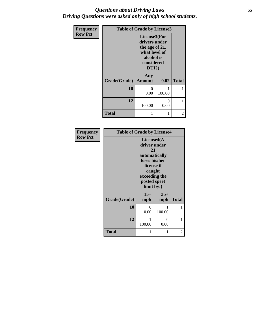## *Questions about Driving Laws* **55** *Driving Questions were asked only of high school students.*

| Frequency      |              | <b>Table of Grade by License3</b>                                                                        |           |              |
|----------------|--------------|----------------------------------------------------------------------------------------------------------|-----------|--------------|
| <b>Row Pct</b> |              | License3(For<br>drivers under<br>the age of 21,<br>what level of<br>alcohol is<br>considered<br>$DUI$ ?) |           |              |
|                | Grade(Grade) | Any<br><b>Amount</b>                                                                                     | 0.02      | <b>Total</b> |
|                | 10           | $\Omega$<br>0.00                                                                                         | 100.00    | 1            |
|                | 12           | 100.00                                                                                                   | 0<br>0.00 |              |
|                | <b>Total</b> | 1                                                                                                        | 1         | 2            |

| Frequency      | <b>Table of Grade by License4</b> |                                                                                                             |                             |              |
|----------------|-----------------------------------|-------------------------------------------------------------------------------------------------------------|-----------------------------|--------------|
| <b>Row Pct</b> |                                   | License4(A)<br>driver under<br>21<br>loses his/her<br>caught<br>exceeding the<br>posted speet<br>limit by:) | automatically<br>license if |              |
|                | Grade(Grade)                      | $15+$<br>mph                                                                                                | $35+$<br>mph                | <b>Total</b> |
|                | 10                                | 0<br>0.00                                                                                                   | 100.00                      | 1            |
|                | 12                                | 1<br>100.00                                                                                                 | 0<br>0.00                   | 1            |
|                | <b>Total</b>                      | 1                                                                                                           | 1                           | 2            |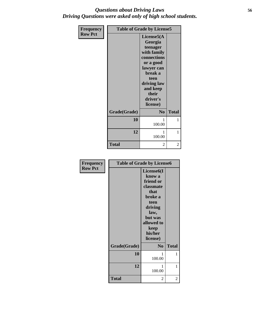## *Questions about Driving Laws* **56** *Driving Questions were asked only of high school students.*

| <b>Frequency</b> | <b>Table of Grade by License5</b> |                                                                                                                                                                           |              |
|------------------|-----------------------------------|---------------------------------------------------------------------------------------------------------------------------------------------------------------------------|--------------|
| <b>Row Pct</b>   |                                   | License5(A<br>Georgia<br>teenager<br>with family<br>connections<br>or a good<br>lawyer can<br>break a<br>teen<br>driving law<br>and keep<br>their<br>driver's<br>license) |              |
|                  | Grade(Grade)                      | N <sub>0</sub>                                                                                                                                                            | <b>Total</b> |
|                  | 10                                | 1<br>100.00                                                                                                                                                               | 1            |
|                  | 12                                | 1<br>100.00                                                                                                                                                               | 1            |
|                  | <b>Total</b>                      | 2                                                                                                                                                                         | 2            |

| <b>Frequency</b> | <b>Table of Grade by License6</b> |                     |              |  |
|------------------|-----------------------------------|---------------------|--------------|--|
| <b>Row Pct</b>   |                                   |                     |              |  |
|                  |                                   | know a              |              |  |
|                  |                                   | friend or           |              |  |
|                  |                                   | classmate           |              |  |
|                  |                                   | that                |              |  |
|                  |                                   | broke a             |              |  |
|                  |                                   | teen                |              |  |
|                  |                                   | driving             |              |  |
|                  |                                   | law,                |              |  |
|                  |                                   | but was             |              |  |
|                  |                                   | allowed to          |              |  |
|                  |                                   | keep                |              |  |
|                  |                                   | his/her<br>license) |              |  |
|                  |                                   |                     |              |  |
|                  | Grade(Grade)                      | N <sub>0</sub>      | <b>Total</b> |  |
|                  | 10                                | 1                   | 1            |  |
|                  |                                   | 100.00              |              |  |
|                  | 12                                | 1                   | 1            |  |
|                  |                                   | 100.00              |              |  |
|                  | <b>Total</b>                      | 2                   | 2            |  |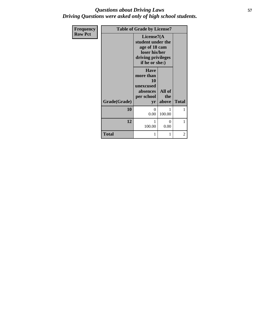## *Questions about Driving Laws* **57** *Driving Questions were asked only of high school students.*

| Frequency      | <b>Table of Grade by License7</b> |                                                                                                            |                        |              |
|----------------|-----------------------------------|------------------------------------------------------------------------------------------------------------|------------------------|--------------|
| <b>Row Pct</b> |                                   | License7(A)<br>student under the<br>age of 18 cam<br>loser his/her<br>driving privileges<br>if he or she:) |                        |              |
|                | Grade(Grade)                      | <b>Have</b><br>more than<br>10<br>unexcused<br>absences<br>per school<br>yr                                | All of<br>the<br>above | <b>Total</b> |
|                | 10                                | 0<br>0.00                                                                                                  | 1<br>100.00            | 1            |
|                | 12                                | 1<br>100.00                                                                                                | $\Omega$<br>0.00       | 1            |
|                | <b>Total</b>                      | 1                                                                                                          | 1                      | 2            |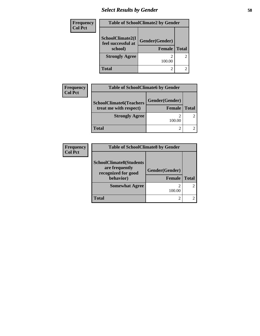## *Select Results by Gender* **58**

| Frequency      | <b>Table of SchoolClimate2 by Gender</b>          |                                 |                |  |
|----------------|---------------------------------------------------|---------------------------------|----------------|--|
| <b>Col Pct</b> | SchoolClimate2(I<br>feel successful at<br>school) | Gender(Gender)<br><b>Female</b> | <b>Total</b>   |  |
|                | <b>Strongly Agree</b>                             | 100.00                          | $\overline{c}$ |  |
|                | <b>Total</b>                                      |                                 | $\overline{2}$ |  |

| <b>Frequency</b> | <b>Table of SchoolClimate6 by Gender</b>         |               |              |  |
|------------------|--------------------------------------------------|---------------|--------------|--|
| <b>Col Pct</b>   | Gender(Gender)<br><b>SchoolClimate6(Teachers</b> |               |              |  |
|                  | treat me with respect)                           | <b>Female</b> | <b>Total</b> |  |
|                  | <b>Strongly Agree</b>                            | 100.00        |              |  |
|                  | <b>Total</b>                                     |               |              |  |

| <b>Frequency</b> | <b>Table of SchoolClimate8 by Gender</b>                                             |                                 |              |  |
|------------------|--------------------------------------------------------------------------------------|---------------------------------|--------------|--|
| <b>Col Pct</b>   | <b>SchoolClimate8(Students</b><br>are frequently<br>recognized for good<br>behavior) | Gender(Gender)<br><b>Female</b> | <b>Total</b> |  |
|                  | <b>Somewhat Agree</b>                                                                | 100.00                          |              |  |
|                  | <b>Total</b>                                                                         |                                 |              |  |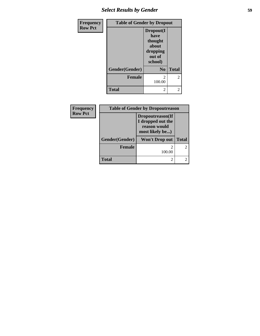## *Select Results by Gender* **59**

| Frequency      | <b>Table of Gender by Dropout</b> |                                                                        |               |
|----------------|-----------------------------------|------------------------------------------------------------------------|---------------|
| <b>Row Pct</b> |                                   | Dropout(I<br>have<br>thought<br>about<br>dropping<br>out of<br>school) |               |
|                | Gender(Gender)                    | N <sub>0</sub>                                                         | <b>Total</b>  |
|                | <b>Female</b>                     | 2<br>100.00                                                            | $\mathcal{L}$ |
|                | <b>Total</b>                      | 2                                                                      | 2             |

| Frequency      | <b>Table of Gender by Dropoutreason</b> |                                                                          |              |  |  |
|----------------|-----------------------------------------|--------------------------------------------------------------------------|--------------|--|--|
| <b>Row Pct</b> |                                         | Dropoutreason(If<br>I dropped out the<br>reason would<br>most likely be) |              |  |  |
|                | Gender(Gender)                          | Won't Drop out                                                           | <b>Total</b> |  |  |
|                | <b>Female</b>                           | 100.00                                                                   | 2            |  |  |
|                | <b>Total</b>                            | $\mathcal{D}_{\mathcal{A}}$                                              | 2            |  |  |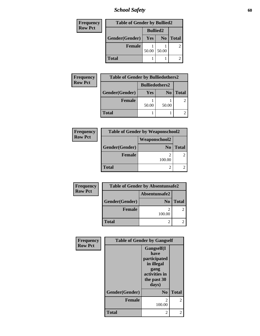*School Safety* **60**

| <b>Frequency</b> | <b>Table of Gender by Bullied2</b> |                 |                |              |
|------------------|------------------------------------|-----------------|----------------|--------------|
| <b>Row Pct</b>   |                                    | <b>Bullied2</b> |                |              |
|                  | Gender(Gender)                     | Yes             | N <sub>0</sub> | <b>Total</b> |
|                  | <b>Female</b>                      |                 |                |              |
|                  |                                    | 50.00           | 50.00          |              |
|                  | <b>Total</b>                       |                 |                |              |

| <b>Bulliedothers2</b><br>Gender(Gender)<br>Yes<br><b>Total</b><br>N <sub>0</sub><br><b>Female</b><br>50.00<br>50.00 | Frequency      | <b>Table of Gender by Bulliedothers2</b> |  |  |  |
|---------------------------------------------------------------------------------------------------------------------|----------------|------------------------------------------|--|--|--|
|                                                                                                                     | <b>Row Pct</b> |                                          |  |  |  |
|                                                                                                                     |                |                                          |  |  |  |
|                                                                                                                     |                |                                          |  |  |  |
|                                                                                                                     |                |                                          |  |  |  |
|                                                                                                                     |                | <b>Total</b>                             |  |  |  |

| Frequency      | <b>Table of Gender by Weaponschool2</b> |                |              |  |  |
|----------------|-----------------------------------------|----------------|--------------|--|--|
| <b>Row Pct</b> |                                         |                |              |  |  |
|                | Gender(Gender)                          | N <sub>0</sub> | <b>Total</b> |  |  |
|                | <b>Female</b>                           | 100.00         |              |  |  |
|                | <b>Total</b>                            |                |              |  |  |

| Frequency      | <b>Table of Gender by Absentunsafe2</b> |                |              |  |  |
|----------------|-----------------------------------------|----------------|--------------|--|--|
| <b>Row Pct</b> | Absentunsafe2                           |                |              |  |  |
|                | Gender(Gender)                          | N <sub>0</sub> | <b>Total</b> |  |  |
|                | Female                                  | 100.00         |              |  |  |
|                | <b>Total</b>                            |                |              |  |  |

| Frequency      | <b>Table of Gender by Gangself</b> |                                                                                                   |                          |  |
|----------------|------------------------------------|---------------------------------------------------------------------------------------------------|--------------------------|--|
| <b>Row Pct</b> |                                    | Gangself(I<br>have<br>participated<br>in illegal<br>gang<br>activities in<br>the past 30<br>days) |                          |  |
|                | Gender(Gender)                     | N <sub>0</sub>                                                                                    | <b>Total</b>             |  |
|                | <b>Female</b>                      | $\mathfrak{D}$<br>100.00                                                                          | $\overline{\mathcal{L}}$ |  |
|                | <b>Total</b>                       | 2                                                                                                 | 2                        |  |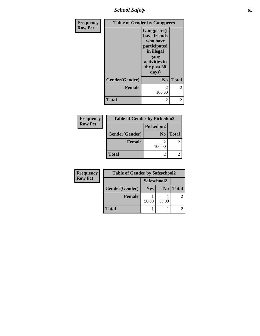*School Safety* **61**

| Frequency      |                | <b>Table of Gender by Gangpeers</b>                                                                                            |                |
|----------------|----------------|--------------------------------------------------------------------------------------------------------------------------------|----------------|
| <b>Row Pct</b> |                | <b>Gangpeers</b> (I<br>have friends<br>who have<br>participated<br>in illegal<br>gang<br>activities in<br>the past 30<br>days) |                |
|                | Gender(Gender) | N <sub>0</sub>                                                                                                                 | <b>Total</b>   |
|                | <b>Female</b>  | $\mathfrak{D}$<br>100.00                                                                                                       | $\overline{c}$ |
|                | <b>Total</b>   | 2                                                                                                                              | 2              |

| <b>Frequency</b> | <b>Table of Gender by Pickedon2</b> |                |              |
|------------------|-------------------------------------|----------------|--------------|
| <b>Row Pct</b>   |                                     | Pickedon2      |              |
|                  | Gender(Gender)                      | N <sub>0</sub> | <b>Total</b> |
|                  | <b>Female</b>                       | 100.00         | 2            |
|                  | <b>Total</b>                        | 2              |              |
|                  |                                     |                |              |

| Frequency      | <b>Table of Gender by Safeschool2</b> |             |                |              |
|----------------|---------------------------------------|-------------|----------------|--------------|
| <b>Row Pct</b> |                                       | Safeschool2 |                |              |
|                | Gender(Gender)                        | Yes         | N <sub>0</sub> | <b>Total</b> |
|                | <b>Female</b>                         | 50.00       | 50.00          |              |
|                |                                       |             |                |              |
|                | <b>Total</b>                          |             |                |              |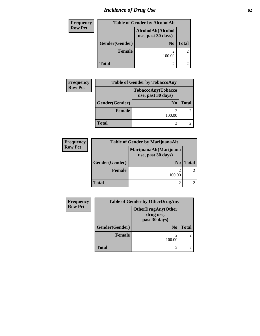# *Incidence of Drug Use* 62

| <b>Frequency</b> | <b>Table of Gender by AlcoholAlt</b>     |                |                |  |
|------------------|------------------------------------------|----------------|----------------|--|
| <b>Row Pct</b>   | AlcoholAlt(Alcohol<br>use, past 30 days) |                |                |  |
|                  | Gender(Gender)                           | N <sub>0</sub> | <b>Total</b>   |  |
|                  | <b>Female</b>                            | 100.00         | $\overline{2}$ |  |
|                  | <b>Total</b>                             |                |                |  |

| Frequency      | <b>Table of Gender by TobaccoAny</b> |                                          |              |
|----------------|--------------------------------------|------------------------------------------|--------------|
| <b>Row Pct</b> |                                      | TobaccoAny(Tobacco<br>use, past 30 days) |              |
|                | Gender(Gender)                       | N <sub>0</sub>                           | <b>Total</b> |
|                | <b>Female</b>                        | 100.00                                   |              |
|                | <b>Total</b>                         | $\mathcal{P}$                            |              |

| <b>Frequency</b> |                | <b>Table of Gender by MarijuanaAlt</b>       |       |
|------------------|----------------|----------------------------------------------|-------|
| <b>Row Pct</b>   |                | MarijuanaAlt(Marijuana<br>use, past 30 days) |       |
|                  | Gender(Gender) | N <sub>0</sub>                               | Total |
|                  | <b>Female</b>  | 100.00                                       |       |
|                  | <b>Total</b>   |                                              |       |

| <b>Frequency</b> | <b>Table of Gender by OtherDrugAny</b> |                                                         |              |
|------------------|----------------------------------------|---------------------------------------------------------|--------------|
| <b>Row Pct</b>   |                                        | <b>OtherDrugAny(Other</b><br>drug use,<br>past 30 days) |              |
|                  | Gender(Gender)                         | N <sub>0</sub>                                          | <b>Total</b> |
|                  | <b>Female</b>                          | $\mathfrak{D}$<br>100.00                                |              |
|                  | <b>Total</b>                           | 2                                                       |              |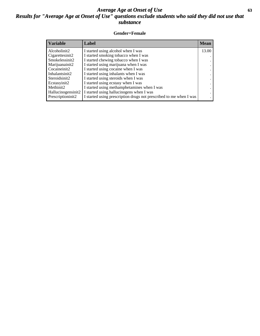## *Average Age at Onset of Use* **63** *Results for "Average Age at Onset of Use" questions exclude students who said they did not use that substance*

### **Gender=Female**

| <b>Variable</b>                 | Label                                                              | <b>Mean</b> |
|---------------------------------|--------------------------------------------------------------------|-------------|
| Alcoholinit2                    | I started using alcohol when I was                                 | 13.00       |
| Cigarettesinit2                 | I started smoking tobacco when I was                               |             |
| Smokelessinit2                  | I started chewing tobacco when I was                               |             |
| Marijuanainit2                  | I started using marijuana when I was                               |             |
| Cocaineinit2                    | I started using cocaine when I was                                 |             |
| Inhalantsinit2                  | I started using inhalants when I was                               |             |
| Steroidsinit2                   | I started using steroids when I was                                |             |
| Ecstasyinit2                    | I started using ecstasy when I was                                 |             |
| Methinit2                       | I started using methamphetamines when I was                        |             |
| Hallucinogensinit2              | I started using hallucinogens when I was                           |             |
| Prescription in it <sub>2</sub> | I started using prescription drugs not prescribed to me when I was |             |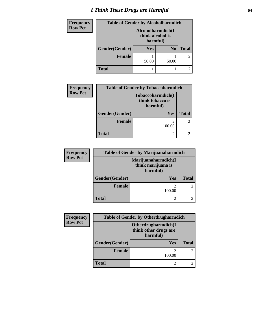## *I Think These Drugs are Harmful* **64**

| <b>Frequency</b> | <b>Table of Gender by Alcoholharmdich</b> |                                                   |                |                |  |
|------------------|-------------------------------------------|---------------------------------------------------|----------------|----------------|--|
| <b>Row Pct</b>   |                                           | Alcoholharmdich(I<br>think alcohol is<br>harmful) |                |                |  |
|                  | Gender(Gender)                            | Yes                                               | N <sub>0</sub> | <b>Total</b>   |  |
|                  | <b>Female</b>                             | 50.00                                             | 50.00          | $\overline{2}$ |  |
|                  | <b>Total</b>                              |                                                   |                |                |  |

| <b>Frequency</b> | <b>Table of Gender by Tobaccoharmdich</b> |                                                   |              |
|------------------|-------------------------------------------|---------------------------------------------------|--------------|
| <b>Row Pct</b>   |                                           | Tobaccoharmdich(I<br>think tobacco is<br>harmful) |              |
|                  | Gender(Gender)                            | <b>Yes</b>                                        | <b>Total</b> |
|                  | <b>Female</b>                             | 100.00                                            |              |
|                  | <b>Total</b>                              |                                                   |              |

| <b>Frequency</b> | <b>Table of Gender by Marijuanaharmdich</b> |                                                       |              |
|------------------|---------------------------------------------|-------------------------------------------------------|--------------|
| <b>Row Pct</b>   |                                             | Marijuanaharmdich(I<br>think marijuana is<br>harmful) |              |
|                  | Gender(Gender)                              | <b>Yes</b>                                            | <b>Total</b> |
|                  | Female                                      | 100.00                                                | 2            |
|                  | <b>Total</b>                                |                                                       |              |

| <b>Frequency</b> | <b>Table of Gender by Otherdrugharmdich</b> |                                                          |              |
|------------------|---------------------------------------------|----------------------------------------------------------|--------------|
| <b>Row Pct</b>   |                                             | Otherdrugharmdich(I<br>think other drugs are<br>harmful) |              |
|                  | Gender(Gender)                              | <b>Yes</b>                                               | <b>Total</b> |
|                  | Female                                      | 100.00                                                   |              |
|                  | <b>Total</b>                                |                                                          | ◠            |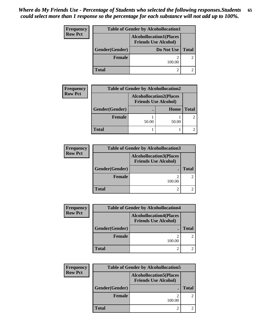| <b>Frequency</b> | <b>Table of Gender by Alcohollocation1</b> |                                                               |                |
|------------------|--------------------------------------------|---------------------------------------------------------------|----------------|
| <b>Row Pct</b>   |                                            | <b>Alcohollocation1(Places</b><br><b>Friends Use Alcohol)</b> |                |
|                  | Gender(Gender)                             | Do Not Use                                                    | <b>Total</b>   |
|                  | Female                                     | 100.00                                                        | $\overline{2}$ |
|                  | Total                                      |                                                               |                |

| <b>Frequency</b> | <b>Table of Gender by Alcohollocation2</b> |                                                               |       |              |
|------------------|--------------------------------------------|---------------------------------------------------------------|-------|--------------|
| <b>Row Pct</b>   |                                            | <b>Alcohollocation2(Places</b><br><b>Friends Use Alcohol)</b> |       |              |
|                  | Gender(Gender)                             |                                                               | Home  | <b>Total</b> |
|                  | <b>Female</b>                              | 50.00                                                         | 50.00 |              |
|                  | <b>Total</b>                               |                                                               |       |              |

| <b>Frequency</b> | <b>Table of Gender by Alcohollocation3</b> |                                                               |              |
|------------------|--------------------------------------------|---------------------------------------------------------------|--------------|
| <b>Row Pct</b>   |                                            | <b>Alcohollocation3(Places</b><br><b>Friends Use Alcohol)</b> |              |
|                  | Gender(Gender)                             |                                                               | <b>Total</b> |
|                  | <b>Female</b>                              | ി<br>100.00                                                   |              |
|                  | <b>Total</b>                               | 2                                                             |              |

| <b>Frequency</b> | <b>Table of Gender by Alcohollocation4</b> |                                                               |              |
|------------------|--------------------------------------------|---------------------------------------------------------------|--------------|
| <b>Row Pct</b>   |                                            | <b>Alcohollocation4(Places</b><br><b>Friends Use Alcohol)</b> |              |
|                  | Gender(Gender)                             |                                                               | <b>Total</b> |
|                  | <b>Female</b>                              | 100.00                                                        |              |
|                  | Total                                      |                                                               |              |

| Frequency      | <b>Table of Gender by Alcohollocation5</b> |                                                               |               |
|----------------|--------------------------------------------|---------------------------------------------------------------|---------------|
| <b>Row Pct</b> |                                            | <b>Alcohollocation5(Places</b><br><b>Friends Use Alcohol)</b> |               |
|                | Gender(Gender)                             |                                                               | <b>Total</b>  |
|                | <b>Female</b>                              | 100.00                                                        | $\mathcal{L}$ |
|                | <b>Total</b>                               |                                                               |               |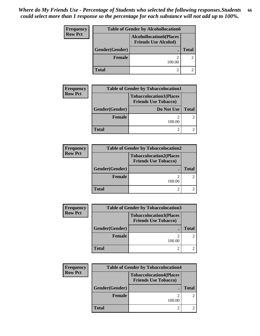| Frequency      | <b>Table of Gender by Alcohollocation6</b> |                                                               |                |
|----------------|--------------------------------------------|---------------------------------------------------------------|----------------|
| <b>Row Pct</b> |                                            | <b>Alcohollocation6(Places</b><br><b>Friends Use Alcohol)</b> |                |
|                | Gender(Gender)                             |                                                               | <b>Total</b>   |
|                | <b>Female</b>                              | 100.00                                                        | $\overline{2}$ |
|                | <b>Total</b>                               |                                                               |                |

| <b>Frequency</b> | <b>Table of Gender by Tobaccolocation1</b> |                                                               |              |
|------------------|--------------------------------------------|---------------------------------------------------------------|--------------|
| <b>Row Pct</b>   |                                            | <b>Tobaccolocation1(Places</b><br><b>Friends Use Tobacco)</b> |              |
|                  | Gender(Gender)                             | Do Not Use                                                    | <b>Total</b> |
|                  | <b>Female</b>                              | 100.00                                                        |              |
|                  | Total                                      |                                                               |              |

| <b>Frequency</b> |                | <b>Table of Gender by Tobaccolocation2</b>                    |              |
|------------------|----------------|---------------------------------------------------------------|--------------|
| <b>Row Pct</b>   |                | <b>Tobaccolocation2(Places</b><br><b>Friends Use Tobacco)</b> |              |
|                  | Gender(Gender) |                                                               | <b>Total</b> |
|                  | <b>Female</b>  | 100.00                                                        |              |
|                  | <b>Total</b>   |                                                               |              |

| <b>Frequency</b> | <b>Table of Gender by Tobaccolocation3</b> |                                                               |       |
|------------------|--------------------------------------------|---------------------------------------------------------------|-------|
| <b>Row Pct</b>   |                                            | <b>Tobaccolocation3(Places</b><br><b>Friends Use Tobacco)</b> |       |
|                  | Gender(Gender)                             |                                                               | Total |
|                  | <b>Female</b>                              | 100.00                                                        |       |
|                  | <b>Total</b>                               |                                                               |       |

| Frequency      | <b>Table of Gender by Tobaccolocation4</b> |                                                               |              |
|----------------|--------------------------------------------|---------------------------------------------------------------|--------------|
| <b>Row Pct</b> |                                            | <b>Tobaccolocation4(Places</b><br><b>Friends Use Tobacco)</b> |              |
|                | Gender(Gender)                             |                                                               | <b>Total</b> |
|                | <b>Female</b>                              | 100.00                                                        |              |
|                | <b>Total</b>                               |                                                               |              |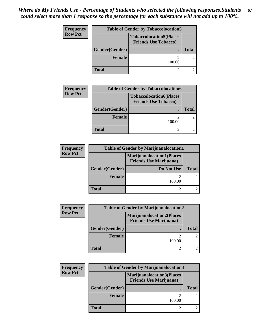| Frequency      | <b>Table of Gender by Tobaccolocation5</b> |                                                               |              |
|----------------|--------------------------------------------|---------------------------------------------------------------|--------------|
| <b>Row Pct</b> |                                            | <b>Tobaccolocation5(Places</b><br><b>Friends Use Tobacco)</b> |              |
|                | Gender(Gender)                             |                                                               | <b>Total</b> |
|                | <b>Female</b>                              | 100.00                                                        |              |
|                | <b>Total</b>                               |                                                               |              |

| <b>Frequency</b> | <b>Table of Gender by Tobaccolocation6</b> |                                                               |              |
|------------------|--------------------------------------------|---------------------------------------------------------------|--------------|
| <b>Row Pct</b>   |                                            | <b>Tobaccolocation6(Places</b><br><b>Friends Use Tobacco)</b> |              |
|                  | Gender(Gender)                             |                                                               | <b>Total</b> |
|                  | <b>Female</b>                              | ി<br>100.00                                                   |              |
|                  | Total                                      |                                                               |              |

| <b>Frequency</b> | <b>Table of Gender by Marijuanalocation1</b> |                                                                    |       |
|------------------|----------------------------------------------|--------------------------------------------------------------------|-------|
| <b>Row Pct</b>   |                                              | <b>Marijuanalocation1(Places</b><br><b>Friends Use Marijuana</b> ) |       |
|                  | Gender(Gender)                               | Do Not Use                                                         | Total |
|                  | <b>Female</b>                                | 100.00                                                             |       |
|                  | <b>Total</b>                                 | $\mathcal{P}$                                                      |       |

| <b>Frequency</b> | <b>Table of Gender by Marijuanalocation2</b> |                                                                    |             |
|------------------|----------------------------------------------|--------------------------------------------------------------------|-------------|
| <b>Row Pct</b>   |                                              | <b>Marijuanalocation2(Places</b><br><b>Friends Use Marijuana</b> ) |             |
|                  | Gender(Gender)                               |                                                                    | Total       |
|                  | <b>Female</b>                                | ി<br>100.00                                                        | $2^{\circ}$ |
|                  | <b>Total</b>                                 |                                                                    |             |

| <b>Frequency</b> | <b>Table of Gender by Marijuanalocation3</b> |                                                                    |               |
|------------------|----------------------------------------------|--------------------------------------------------------------------|---------------|
| <b>Row Pct</b>   |                                              | <b>Marijuanalocation3(Places</b><br><b>Friends Use Marijuana</b> ) |               |
|                  | Gender(Gender)                               |                                                                    | <b>Total</b>  |
|                  | Female                                       | 100.00                                                             | $\mathcal{L}$ |
|                  | <b>Total</b>                                 |                                                                    |               |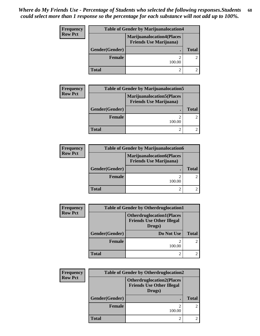| Frequency      | <b>Table of Gender by Marijuanalocation4</b> |                                                                     |              |
|----------------|----------------------------------------------|---------------------------------------------------------------------|--------------|
| <b>Row Pct</b> |                                              | <b>Marijuanalocation4(Places)</b><br><b>Friends Use Marijuana</b> ) |              |
|                | Gender(Gender)                               |                                                                     | <b>Total</b> |
|                | Female                                       | 100.00                                                              |              |
|                | <b>Total</b>                                 |                                                                     |              |

| <b>Frequency</b> | <b>Table of Gender by Marijuanalocation5</b> |                                                                    |              |
|------------------|----------------------------------------------|--------------------------------------------------------------------|--------------|
| <b>Row Pct</b>   |                                              | <b>Marijuanalocation5(Places</b><br><b>Friends Use Marijuana</b> ) |              |
|                  | Gender(Gender)                               | $\bullet$                                                          | <b>Total</b> |
|                  | <b>Female</b>                                | $\mathfrak{D}$<br>100.00                                           |              |
|                  | <b>Total</b>                                 |                                                                    |              |

| <b>Frequency</b> | <b>Table of Gender by Marijuanalocation6</b> |                                                                    |              |
|------------------|----------------------------------------------|--------------------------------------------------------------------|--------------|
| <b>Row Pct</b>   |                                              | <b>Marijuanalocation6(Places</b><br><b>Friends Use Marijuana</b> ) |              |
|                  | Gender(Gender)                               | ٠                                                                  | <b>Total</b> |
|                  | Female                                       | 2<br>100.00                                                        |              |
|                  | <b>Total</b>                                 | 2                                                                  |              |

| <b>Frequency</b> | <b>Table of Gender by Otherdruglocation1</b> |                                                                                |              |
|------------------|----------------------------------------------|--------------------------------------------------------------------------------|--------------|
| <b>Row Pct</b>   |                                              | <b>Otherdruglocation1(Places</b><br><b>Friends Use Other Illegal</b><br>Drugs) |              |
|                  | Gender(Gender)                               | Do Not Use                                                                     | <b>Total</b> |
|                  | <b>Female</b>                                | 100.00                                                                         |              |
|                  | <b>Total</b>                                 | ി                                                                              |              |

| <b>Frequency</b> | <b>Table of Gender by Otherdruglocation2</b> |                                                                                |              |
|------------------|----------------------------------------------|--------------------------------------------------------------------------------|--------------|
| <b>Row Pct</b>   |                                              | <b>Otherdruglocation2(Places</b><br><b>Friends Use Other Illegal</b><br>Drugs) |              |
|                  | Gender(Gender)                               |                                                                                | <b>Total</b> |
|                  | Female                                       | ി<br>100.00                                                                    |              |
|                  | <b>Total</b>                                 | 2                                                                              |              |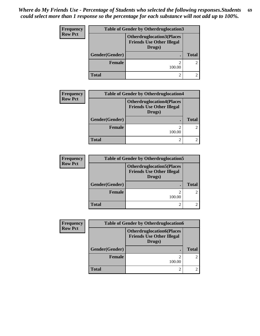| Frequency      | <b>Table of Gender by Otherdruglocation3</b> |                                                                                |              |
|----------------|----------------------------------------------|--------------------------------------------------------------------------------|--------------|
| <b>Row Pct</b> |                                              | <b>Otherdruglocation3(Places</b><br><b>Friends Use Other Illegal</b><br>Drugs) |              |
|                | Gender(Gender)                               |                                                                                | <b>Total</b> |
|                | Female                                       | 100.00                                                                         |              |
|                | <b>Total</b>                                 |                                                                                |              |

| <b>Frequency</b> | <b>Table of Gender by Otherdruglocation4</b> |                                                                                |              |
|------------------|----------------------------------------------|--------------------------------------------------------------------------------|--------------|
| <b>Row Pct</b>   |                                              | <b>Otherdruglocation4(Places</b><br><b>Friends Use Other Illegal</b><br>Drugs) |              |
|                  | Gender(Gender)                               |                                                                                | <b>Total</b> |
|                  | <b>Female</b>                                | 100.00                                                                         |              |
|                  | <b>Total</b>                                 | 2                                                                              |              |

| <b>Frequency</b> | <b>Table of Gender by Otherdruglocation5</b> |                                                                                |              |
|------------------|----------------------------------------------|--------------------------------------------------------------------------------|--------------|
| <b>Row Pct</b>   |                                              | <b>Otherdruglocation5(Places</b><br><b>Friends Use Other Illegal</b><br>Drugs) |              |
|                  | Gender(Gender)                               |                                                                                | <b>Total</b> |
|                  | <b>Female</b>                                | ി<br>100.00                                                                    | $2^{\circ}$  |
|                  | <b>Total</b>                                 | ി                                                                              |              |

| <b>Frequency</b> | <b>Table of Gender by Otherdruglocation6</b> |                                                                                |              |
|------------------|----------------------------------------------|--------------------------------------------------------------------------------|--------------|
| <b>Row Pct</b>   |                                              | <b>Otherdruglocation6(Places</b><br><b>Friends Use Other Illegal</b><br>Drugs) |              |
|                  | Gender(Gender)                               |                                                                                | <b>Total</b> |
|                  | <b>Female</b>                                | ◠<br>100.00                                                                    | $2^{\circ}$  |
|                  | Total                                        | ◠                                                                              |              |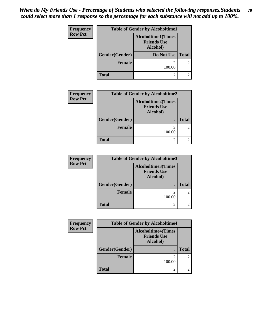| <b>Frequency</b> | <b>Table of Gender by Alcoholtime1</b> |                                                             |              |
|------------------|----------------------------------------|-------------------------------------------------------------|--------------|
| <b>Row Pct</b>   |                                        | <b>Alcoholtime1(Times</b><br><b>Friends Use</b><br>Alcohol) |              |
|                  | Gender(Gender)                         | <b>Do Not Use</b>                                           | <b>Total</b> |
|                  | <b>Female</b>                          | 100.00                                                      | 2            |
|                  | Total                                  | $\overline{c}$                                              |              |

| <b>Frequency</b> | <b>Table of Gender by Alcoholtime2</b> |                                                             |              |
|------------------|----------------------------------------|-------------------------------------------------------------|--------------|
| <b>Row Pct</b>   |                                        | <b>Alcoholtime2(Times</b><br><b>Friends Use</b><br>Alcohol) |              |
|                  | Gender(Gender)                         |                                                             | <b>Total</b> |
|                  | <b>Female</b>                          | $\overline{2}$<br>100.00                                    |              |
|                  | <b>Total</b>                           | $\mathfrak{D}$                                              |              |

| <b>Frequency</b> | <b>Table of Gender by Alcoholtime3</b> |                                                             |               |
|------------------|----------------------------------------|-------------------------------------------------------------|---------------|
| <b>Row Pct</b>   |                                        | <b>Alcoholtime3(Times</b><br><b>Friends Use</b><br>Alcohol) |               |
|                  | Gender(Gender)                         |                                                             | <b>Total</b>  |
|                  | Female                                 | 2<br>100.00                                                 | $\mathcal{L}$ |
|                  | <b>Total</b>                           | $\mathfrak{D}$                                              |               |

| <b>Frequency</b> | <b>Table of Gender by Alcoholtime4</b> |                                                             |              |
|------------------|----------------------------------------|-------------------------------------------------------------|--------------|
| <b>Row Pct</b>   |                                        | <b>Alcoholtime4(Times</b><br><b>Friends Use</b><br>Alcohol) |              |
|                  | Gender(Gender)                         |                                                             | <b>Total</b> |
|                  | <b>Female</b>                          | $\mathfrak{D}$<br>100.00                                    |              |
|                  | <b>Total</b>                           | 2                                                           |              |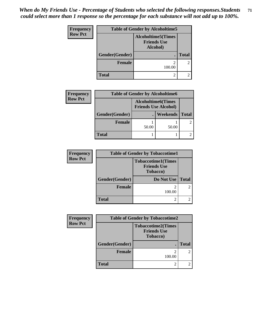*When do My Friends Use - Percentage of Students who selected the following responses.Students could select more than 1 response so the percentage for each substance will not add up to 100%.* **71**

| <b>Frequency</b> | <b>Table of Gender by Alcoholtime5</b> |                                                             |              |
|------------------|----------------------------------------|-------------------------------------------------------------|--------------|
| <b>Row Pct</b>   |                                        | <b>Alcoholtime5(Times</b><br><b>Friends Use</b><br>Alcohol) |              |
|                  | Gender(Gender)                         |                                                             | <b>Total</b> |
|                  | <b>Female</b>                          | 100.00                                                      | 2            |
|                  | <b>Total</b>                           | 2                                                           |              |

| <b>Frequency</b> | <b>Table of Gender by Alcoholtime6</b> |       |                                                           |              |
|------------------|----------------------------------------|-------|-----------------------------------------------------------|--------------|
| <b>Row Pct</b>   |                                        |       | <b>Alcoholtime6</b> (Times<br><b>Friends Use Alcohol)</b> |              |
|                  | Gender(Gender)                         |       | <b>Weekends</b>                                           | <b>Total</b> |
|                  | <b>Female</b>                          | 50.00 | 50.00                                                     |              |
|                  | <b>Total</b>                           |       |                                                           |              |

| <b>Frequency</b> | <b>Table of Gender by Tobaccotime1</b> |                                                                     |                |
|------------------|----------------------------------------|---------------------------------------------------------------------|----------------|
| <b>Row Pct</b>   |                                        | <b>Tobaccotime1(Times</b><br><b>Friends Use</b><br><b>Tobacco</b> ) |                |
|                  | Gender(Gender)                         | Do Not Use   Total                                                  |                |
|                  | <b>Female</b>                          | 100.00                                                              | $\mathfrak{D}$ |
|                  | <b>Total</b>                           |                                                                     |                |

| Frequency      | <b>Table of Gender by Tobaccotime2</b> |                                                                     |              |
|----------------|----------------------------------------|---------------------------------------------------------------------|--------------|
| <b>Row Pct</b> |                                        | <b>Tobaccotime2(Times</b><br><b>Friends Use</b><br><b>Tobacco</b> ) |              |
|                | Gender(Gender)                         |                                                                     | <b>Total</b> |
|                | <b>Female</b>                          | 100.00                                                              |              |
|                | <b>Total</b>                           |                                                                     |              |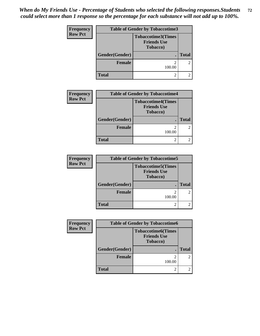*When do My Friends Use - Percentage of Students who selected the following responses.Students could select more than 1 response so the percentage for each substance will not add up to 100%.* **72**

| <b>Frequency</b> | <b>Table of Gender by Tobaccotime3</b> |                                                                     |                |
|------------------|----------------------------------------|---------------------------------------------------------------------|----------------|
| <b>Row Pct</b>   |                                        | <b>Tobaccotime3(Times</b><br><b>Friends Use</b><br><b>Tobacco</b> ) |                |
|                  | Gender(Gender)                         |                                                                     | <b>Total</b>   |
|                  | <b>Female</b>                          | 100.00                                                              | $\mathfrak{D}$ |
|                  | <b>Total</b>                           | 2                                                                   |                |

| <b>Frequency</b> | <b>Table of Gender by Tobaccotime4</b> |                                                                     |              |
|------------------|----------------------------------------|---------------------------------------------------------------------|--------------|
| <b>Row Pct</b>   |                                        | <b>Tobaccotime4(Times</b><br><b>Friends Use</b><br><b>Tobacco</b> ) |              |
|                  | Gender(Gender)                         |                                                                     | <b>Total</b> |
|                  | Female                                 | 100.00                                                              |              |
|                  | <b>Total</b>                           | $\mathfrak{D}$                                                      |              |

| <b>Frequency</b> | <b>Table of Gender by Tobaccotime5</b> |                                                                     |              |
|------------------|----------------------------------------|---------------------------------------------------------------------|--------------|
| <b>Row Pct</b>   |                                        | <b>Tobaccotime5(Times</b><br><b>Friends Use</b><br><b>Tobacco</b> ) |              |
|                  | Gender(Gender)                         |                                                                     | <b>Total</b> |
|                  | Female                                 | 100.00                                                              | 2            |
|                  | <b>Total</b>                           |                                                                     | 2            |

| <b>Frequency</b> | <b>Table of Gender by Tobaccotime6</b> |                                                                     |              |
|------------------|----------------------------------------|---------------------------------------------------------------------|--------------|
| <b>Row Pct</b>   |                                        | <b>Tobaccotime6(Times</b><br><b>Friends Use</b><br><b>Tobacco</b> ) |              |
|                  | Gender(Gender)                         |                                                                     | <b>Total</b> |
|                  | <b>Female</b>                          | ◠<br>100.00                                                         |              |
|                  | <b>Total</b>                           | 2                                                                   |              |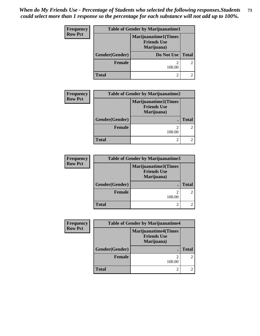## *When do My Friends Use - Percentage of Students who selected the following responses.Students could select more than 1 response so the percentage for each substance will not add up to 100%.* **73**

| Frequency      | <b>Table of Gender by Marijuanatime1</b> |                                                                 |              |
|----------------|------------------------------------------|-----------------------------------------------------------------|--------------|
| <b>Row Pct</b> |                                          | <b>Marijuanatime1(Times</b><br><b>Friends Use</b><br>Marijuana) |              |
|                | Gender(Gender)                           | Do Not Use                                                      | <b>Total</b> |
|                | <b>Female</b>                            | 100.00                                                          |              |
|                | <b>Total</b>                             | $\overline{c}$                                                  |              |

| <b>Frequency</b> | <b>Table of Gender by Marijuanatime2</b> |                                                          |                |
|------------------|------------------------------------------|----------------------------------------------------------|----------------|
| <b>Row Pct</b>   |                                          | Marijuanatime2(Times<br><b>Friends Use</b><br>Marijuana) |                |
|                  | Gender(Gender)                           |                                                          | Total          |
|                  | <b>Female</b>                            | 100.00                                                   | $\overline{2}$ |
|                  | <b>Total</b>                             |                                                          |                |

| <b>Frequency</b> | <b>Table of Gender by Marijuanatime3</b> |                                                          |                |
|------------------|------------------------------------------|----------------------------------------------------------|----------------|
| <b>Row Pct</b>   |                                          | Marijuanatime3(Times<br><b>Friends Use</b><br>Marijuana) |                |
|                  | Gender(Gender)                           |                                                          | <b>Total</b>   |
|                  | <b>Female</b>                            | 100.00                                                   | $\overline{2}$ |
|                  | <b>Total</b>                             |                                                          | $\mathfrak{D}$ |

| Frequency      | <b>Table of Gender by Marijuanatime4</b> |                                                                 |              |
|----------------|------------------------------------------|-----------------------------------------------------------------|--------------|
| <b>Row Pct</b> |                                          | <b>Marijuanatime4(Times</b><br><b>Friends Use</b><br>Marijuana) |              |
|                | Gender(Gender)                           |                                                                 | <b>Total</b> |
|                | <b>Female</b>                            | $\overline{2}$<br>100.00                                        |              |
|                | <b>Total</b>                             | $\mathfrak{D}$                                                  |              |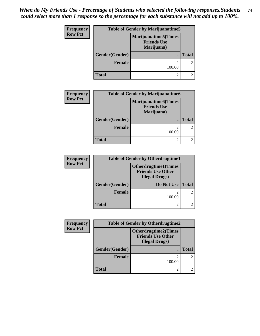## *When do My Friends Use - Percentage of Students who selected the following responses.Students could select more than 1 response so the percentage for each substance will not add up to 100%.* **74**

| Frequency      | <b>Table of Gender by Marijuanatime5</b> |                                                                  |              |
|----------------|------------------------------------------|------------------------------------------------------------------|--------------|
| <b>Row Pct</b> |                                          | <b>Marijuanatime5</b> (Times<br><b>Friends Use</b><br>Marijuana) |              |
|                | Gender(Gender)                           |                                                                  | <b>Total</b> |
|                | <b>Female</b>                            | 100.00                                                           |              |
|                | <b>Total</b>                             | റ                                                                |              |

| <b>Frequency</b> | <b>Table of Gender by Marijuanatime6</b> |                                                                  |               |
|------------------|------------------------------------------|------------------------------------------------------------------|---------------|
| <b>Row Pct</b>   |                                          | <b>Marijuanatime6</b> (Times<br><b>Friends Use</b><br>Marijuana) |               |
|                  | Gender(Gender)                           |                                                                  | <b>Total</b>  |
|                  | <b>Female</b>                            | 100.00                                                           | $\mathcal{L}$ |
|                  | <b>Total</b>                             |                                                                  |               |

| <b>Frequency</b> | <b>Table of Gender by Otherdrugtime1</b> |                                                                                   |               |
|------------------|------------------------------------------|-----------------------------------------------------------------------------------|---------------|
| <b>Row Pct</b>   |                                          | <b>Otherdrugtime1(Times</b><br><b>Friends Use Other</b><br><b>Illegal Drugs</b> ) |               |
|                  | Gender(Gender)                           | <b>Do Not Use</b>                                                                 | <b>Total</b>  |
|                  | <b>Female</b>                            | 100.00                                                                            | $\mathcal{L}$ |
|                  | <b>Total</b>                             |                                                                                   |               |

| Frequency      | <b>Table of Gender by Otherdrugtime2</b> |                                                                                   |              |
|----------------|------------------------------------------|-----------------------------------------------------------------------------------|--------------|
| <b>Row Pct</b> |                                          | <b>Otherdrugtime2(Times</b><br><b>Friends Use Other</b><br><b>Illegal Drugs</b> ) |              |
|                | Gender(Gender)                           |                                                                                   | <b>Total</b> |
|                | <b>Female</b>                            | ി<br>100.00                                                                       |              |
|                | <b>Total</b>                             | 2                                                                                 |              |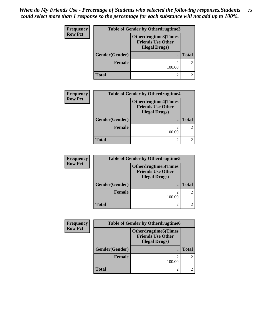## *When do My Friends Use - Percentage of Students who selected the following responses.Students could select more than 1 response so the percentage for each substance will not add up to 100%.* **75**

| Frequency      | <b>Table of Gender by Otherdrugtime3</b> |                                                                                  |              |
|----------------|------------------------------------------|----------------------------------------------------------------------------------|--------------|
| <b>Row Pct</b> |                                          | <b>Otherdrugtime3(Times</b><br><b>Friends Use Other</b><br><b>Illegal Drugs)</b> |              |
|                | Gender(Gender)                           |                                                                                  | <b>Total</b> |
|                | <b>Female</b>                            | ∍<br>100.00                                                                      | 2            |
|                | <b>Total</b>                             | 2                                                                                |              |

| <b>Frequency</b> | <b>Table of Gender by Otherdrugtime4</b> |                                                                                  |                |
|------------------|------------------------------------------|----------------------------------------------------------------------------------|----------------|
| <b>Row Pct</b>   |                                          | <b>Otherdrugtime4(Times</b><br><b>Friends Use Other</b><br><b>Illegal Drugs)</b> |                |
|                  | Gender(Gender)                           |                                                                                  | <b>Total</b>   |
|                  | <b>Female</b>                            | 100.00                                                                           | $\overline{2}$ |
|                  | <b>Total</b>                             |                                                                                  |                |

| <b>Frequency</b> | <b>Table of Gender by Otherdrugtime5</b> |                                                                                    |               |
|------------------|------------------------------------------|------------------------------------------------------------------------------------|---------------|
| <b>Row Pct</b>   |                                          | <b>Otherdrugtime5</b> (Times<br><b>Friends Use Other</b><br><b>Illegal Drugs</b> ) |               |
|                  | Gender(Gender)                           |                                                                                    | <b>Total</b>  |
|                  | <b>Female</b>                            | 100.00                                                                             | $\mathcal{L}$ |
|                  | <b>Total</b>                             |                                                                                    |               |

| Frequency      | <b>Table of Gender by Otherdrugtime6</b> |                                                                                   |              |
|----------------|------------------------------------------|-----------------------------------------------------------------------------------|--------------|
| <b>Row Pct</b> |                                          | <b>Otherdrugtime6(Times</b><br><b>Friends Use Other</b><br><b>Illegal Drugs</b> ) |              |
|                | Gender(Gender)                           |                                                                                   | <b>Total</b> |
|                | <b>Female</b>                            | $\mathfrak{D}$<br>100.00                                                          |              |
|                | <b>Total</b>                             | $\overline{c}$                                                                    |              |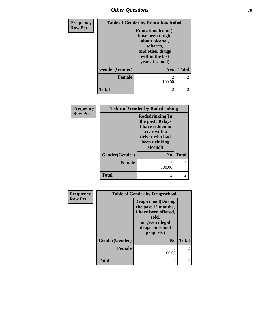## *Other Questions* **76**

| Frequency      | <b>Table of Gender by Educationalcohol</b> |                                                                                                                                       |                |
|----------------|--------------------------------------------|---------------------------------------------------------------------------------------------------------------------------------------|----------------|
| <b>Row Pct</b> |                                            | <b>Educationalcohol</b> (I<br>have been taught<br>about alcohol,<br>tobacco,<br>and other drugs<br>within the last<br>year at school) |                |
|                | Gender(Gender)                             | Yes                                                                                                                                   | <b>Total</b>   |
|                | <b>Female</b>                              | 100.00                                                                                                                                | $\mathfrak{D}$ |
|                | <b>Total</b>                               | 2                                                                                                                                     | $\mathfrak{D}$ |

| Frequency      | <b>Table of Gender by Rodedrinking</b> |                                                                                                                        |                             |
|----------------|----------------------------------------|------------------------------------------------------------------------------------------------------------------------|-----------------------------|
| <b>Row Pct</b> |                                        | Rodedrinking(In<br>the past 30 days<br>I have ridden in<br>a car with a<br>driver who had<br>been drinking<br>alcohol) |                             |
|                | Gender(Gender)                         | N <sub>0</sub>                                                                                                         | <b>Total</b>                |
|                | Female                                 | 100.00                                                                                                                 | $\overline{2}$              |
|                | <b>Total</b>                           | 2                                                                                                                      | $\mathcal{D}_{\mathcal{A}}$ |

| <b>Frequency</b> | <b>Table of Gender by Drugsschool</b> |                                                                                                                                        |                |
|------------------|---------------------------------------|----------------------------------------------------------------------------------------------------------------------------------------|----------------|
| <b>Row Pct</b>   |                                       | <b>Drugsschool</b> (During<br>the past 12 months,<br>I have been offered,<br>sold,<br>or given illegal<br>drugs on school<br>property) |                |
|                  | Gender(Gender)                        | $\mathbf{N_0}$                                                                                                                         | <b>Total</b>   |
|                  | <b>Female</b>                         | $\mathfrak{D}$<br>100.00                                                                                                               | $\mathfrak{D}$ |
|                  | <b>Total</b>                          | $\overline{c}$                                                                                                                         | 2              |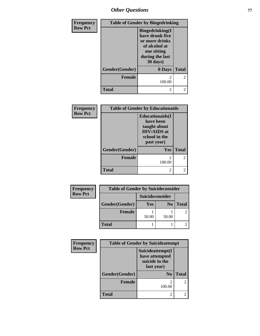*Other Questions* **77**

| Frequency      | <b>Table of Gender by Bingedrinking</b> |                                                                                                                             |                |
|----------------|-----------------------------------------|-----------------------------------------------------------------------------------------------------------------------------|----------------|
| <b>Row Pct</b> |                                         | <b>Bingedrinking</b> (I<br>have drunk five<br>or more drinks<br>of alcohol at<br>one sitting<br>during the last<br>30 days) |                |
|                | Gender(Gender)                          | 0 Days                                                                                                                      | <b>Total</b>   |
|                | <b>Female</b>                           | $\mathfrak{D}$<br>100.00                                                                                                    | $\overline{c}$ |
|                | <b>Total</b>                            | 2                                                                                                                           | $\overline{2}$ |

| Frequency      | <b>Table of Gender by Educationaids</b> |                                                                                                           |                |
|----------------|-----------------------------------------|-----------------------------------------------------------------------------------------------------------|----------------|
| <b>Row Pct</b> |                                         | <b>Educationaids</b> (I<br>have been<br>taught about<br><b>HIV/AIDS</b> at<br>school in the<br>past year) |                |
|                | Gender(Gender)                          | <b>Yes</b>                                                                                                | <b>Total</b>   |
|                | <b>Female</b>                           | $\mathcal{D}_{\mathcal{L}}$<br>100.00                                                                     | $\mathfrak{D}$ |
|                | <b>Total</b>                            | $\mathfrak{D}$                                                                                            |                |

| Frequency      | <b>Table of Gender by Suicideconsider</b> |                 |                |              |
|----------------|-------------------------------------------|-----------------|----------------|--------------|
| <b>Row Pct</b> |                                           | Suicideconsider |                |              |
|                | Gender(Gender)                            | Yes             | N <sub>0</sub> | <b>Total</b> |
|                | <b>Female</b>                             |                 |                |              |
|                |                                           | 50.00           | 50.00          |              |
|                | <b>Total</b>                              |                 |                |              |

| Frequency      |                | <b>Table of Gender by Suicideattempt</b>                           |              |
|----------------|----------------|--------------------------------------------------------------------|--------------|
| <b>Row Pct</b> |                | Suicideattempt(I<br>have attempted<br>suicide in the<br>last year) |              |
|                | Gender(Gender) | N <sub>0</sub>                                                     | <b>Total</b> |
|                | <b>Female</b>  | 100.00                                                             | 2            |
|                | <b>Total</b>   | $\mathfrak{D}$                                                     |              |